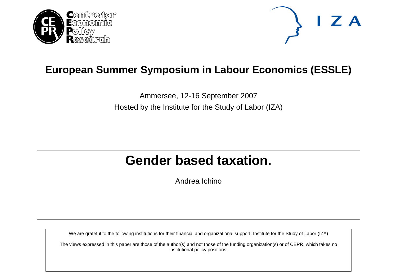



# **European Summer Symposium in Labour Economics (ESSLE)**

Ammersee, 12-16 September 2007 Hosted by the Institute for the Study of Labor (IZA)

# **Gender based taxation.**

Andrea Ichino

We are grateful to the following institutions for their financial and organizational support: Institute for the Study of Labor (IZA)

The views expressed in this paper are those of the author(s) and not those of the funding organization(s) or of CEPR, which takes no institutional policy positions.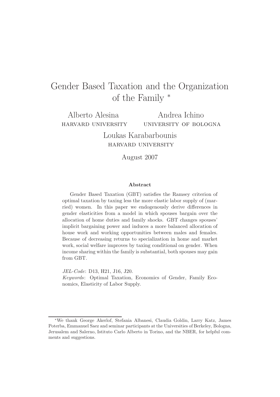# Gender Based Taxation and the Organization of the Family <sup>∗</sup>

Alberto Alesina harvard university

Andrea Ichino university of bologna

Loukas Karabarbounis harvard university

August 2007

#### **Abstract**

Gender Based Taxation (GBT) satisfies the Ramsey criterion of optimal taxation by taxing less the more elastic labor supply of (married) women. In this paper we endogenously derive differences in gender elasticities from a model in which spouses bargain over the allocation of home duties and family shocks. GBT changes spouses' implicit bargaining power and induces a more balanced allocation of house work and working opportunities between males and females. Because of decreasing returns to specialization in home and market work, social welfare improves by taxing conditional on gender. When income sharing within the family is substantial, both spouses may gain from GBT.

JEL-Code: D13, H21, J16, J20. Keywords: Optimal Taxation, Economics of Gender, Family Economics, Elasticity of Labor Supply.

<sup>∗</sup>We thank George Akerlof, Stefania Albanesi, Claudia Goldin, Larry Katz, James Poterba, Emmanuel Saez and seminar participants at the Universities of Berkeley, Bologna, Jerusalem and Salerno, Istituto Carlo Alberto in Torino, and the NBER, for helpful comments and suggestions.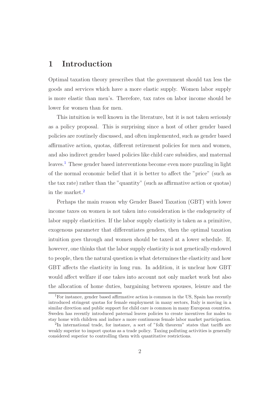# **1 Introduction**

Optimal taxation theory prescribes that the government should tax less the goods and services which have a more elastic supply. Women labor supply is more elastic than men's. Therefore, tax rates on labor income should be lower for women than for men.

This intuition is well known in the literature, but it is not taken seriously as a policy proposal. This is surprising since a host of other gender based policies are routinely discussed, and often implemented, such as gender based affirmative action, quotas, different retirement policies for men and women, and also indirect gender based policies like child care subsidies, and maternal leaves.[1](#page-2-1) These gender based interventions become even more puzzling in light of the normal economic belief that it is better to affect the "price" (such as the tax rate) rather than the "quantity" (such as affirmative action or quotas) in the market.[2](#page-2-0)

Perhaps the main reason why Gender Based Taxation (GBT) with lower income taxes on women is not taken into consideration is the endogeneity of labor supply elasticities. If the labor supply elasticity is taken as a primitive, exogenous parameter that differentiates genders, then the optimal taxation intuition goes through and women should be taxed at a lower schedule. If, however, one thinks that the labor supply elasticity is not genetically endowed to people, then the natural question is what determines the elasticity and how GBT affects the elasticity in long run. In addition, it is unclear how GBT would affect welfare if one takes into account not only market work but also the allocation of home duties, bargaining between spouses, leisure and the

<span id="page-2-1"></span><sup>1</sup>For instance, gender based affirmative action is common in the US, Spain has recently introduced stringent quotas for female employment in many sectors, Italy is moving in a similar direction and public support for child care is common in many European countries. Sweden has recently introduced paternal leaves policies to create incentives for males to stay home with children and induce a more continuous female labor market participation.

<span id="page-2-0"></span><sup>2</sup>In international trade, for instance, a sort of "folk theorem" states that tariffs are weakly superior to import quotas as a trade policy. Taxing polluting activities is generally considered superior to controlling them with quantitative restrictions.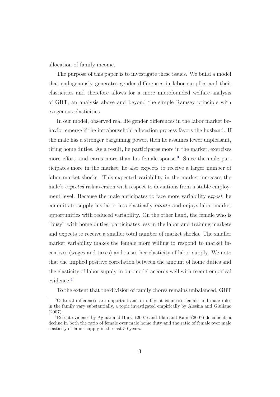allocation of family income.

The purpose of this paper is to investigate these issues. We build a model that endogenously generates gender differences in labor supplies and their elasticities and therefore allows for a more microfounded welfare analysis of GBT, an analysis above and beyond the simple Ramsey principle with exogenous elasticities.

In our model, observed real life gender differences in the labor market behavior emerge if the intrahousehold allocation process favors the husband. If the male has a stronger bargaining power, then he assumes fewer unpleasant, tiring home duties. As a result, he participates more in the market, exercises more effort, and earns more than his female spouse.<sup>[3](#page-3-1)</sup> Since the male participates more in the market, he also expects to receive a larger number of labor market shocks. This expected variability in the market increases the male's *expected* risk aversion with respect to deviations from a stable employment level. Because the male anticipates to face more variability *expost*, he commits to supply his labor less elastically *exante* and enjoys labor market opportunities with reduced variability. On the other hand, the female who is "busy" with home duties, participates less in the labor and training markets and expects to receive a smaller total number of market shocks. The smaller market variability makes the female more willing to respond to market incentives (wages and taxes) and raises her elasticity of labor supply. We note that the implied positive correlation between the amount of home duties and the elasticity of labor supply in our model accords well with recent empirical evidence.[4](#page-3-0)

To the extent that the division of family chores remains unbalanced, GBT

<span id="page-3-1"></span><sup>3</sup>Cultural differences are important and in different countries female and male roles in the family vary substantially, a topic investigated empirically by Alesina and Giuliano (2007).

<span id="page-3-0"></span><sup>4</sup>Recent evidence by Aguiar and Hurst (2007) and Blau and Kahn (2007) documents a decline in both the ratio of female over male home duty and the ratio of female over male elasticity of labor supply in the last 50 years.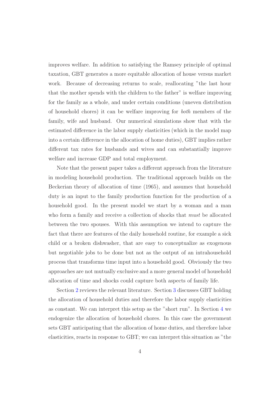improves welfare. In addition to satisfying the Ramsey principle of optimal taxation, GBT generates a more equitable allocation of house versus market work. Because of decreasing returns to scale, reallocating "the last hour that the mother spends with the children to the father" is welfare improving for the family as a whole, and under certain conditions (uneven distribution of household chores) it can be welfare improving for *both* members of the family, wife and husband. Our numerical simulations show that with the estimated difference in the labor supply elasticities (which in the model map into a certain difference in the allocation of home duties), GBT implies rather different tax rates for husbands and wives and can substantially improve welfare and increase GDP and total employment.

Note that the present paper takes a different approach from the literature in modeling household production. The traditional approach builds on the Beckerian theory of allocation of time (1965), and assumes that household duty is an input to the family production function for the production of a household good. In the present model we start by a woman and a man who form a family and receive a collection of shocks that *must* be allocated between the two spouses. With this assumption we intend to capture the fact that there are features of the daily household routine, for example a sick child or a broken dishwasher, that are easy to conceptualize as exogenous but negotiable jobs to be done but not as the output of an intrahousehold process that transforms time input into a household good. Obviously the two approaches are not mutually exclusive and a more general model of household allocation of time and shocks could capture both aspects of family life.

Section [2](#page-5-0) reviews the relevant literature. Section [3](#page-8-0) discusses GBT holding the allocation of household duties and therefore the labor supply elasticities as constant. We can interpret this setup as the "short run". In Section [4](#page-17-0) we endogenize the allocation of household chores. In this case the government sets GBT anticipating that the allocation of home duties, and therefore labor elasticities, reacts in response to GBT; we can interpret this situation as "the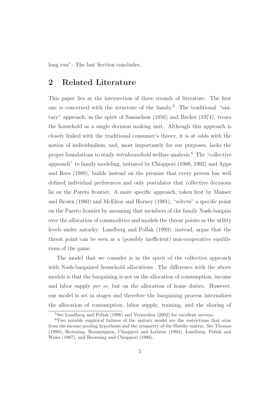<span id="page-5-0"></span>long run". The last Section concludes.

# **2 Related Literature**

This paper lies at the intersection of three strands of literature. The first one is concerned with the structure of the family.<sup>[5](#page-5-2)</sup> The traditional "unitary" approach, in the spirit of Samuelson (1956) and Becker (1974), treats the household as a single decision making unit. Although this approach is closely linked with the traditional consumer's theory, it is at odds with the notion of individualism, and, most importantly for our purposes, lacks the proper foundations to study *intrahousehold* welfare analysis.[6](#page-5-1) The "collective approach" to family modeling, initiated by Chiappori (1988, 1992) and Apps and Rees (1988), builds instead on the premise that every person has well defined individual preferences and only postulates that collective decisions lie on the Pareto frontier. A more specific approach, taken first by Manser and Brown (1980) and McElroy and Horney (1981), "selects" a specific point on the Pareto frontier by assuming that members of the family Nash-bargain over the allocation of commodities and models the threat points as the utility levels under autarky. Lundberg and Pollak (1993), instead, argue that the threat point can be seen as a (possibly inefficient) non-cooperative equilibrium of the game.

The model that we consider is in the spirit of the collective approach with Nash-bargained household allocations. The difference with the above models is that the bargaining is not on the allocation of consumption, income and labor supply *per se*, but on the allocation of home duties. However, our model is set in stages and therefore the bargaining process internalizes the allocation of consumption, labor supply, training, and the sharing of

<sup>5</sup>See Lundberg and Pollak (1996) and Vermeulen (2002) for excellent surveys.

<span id="page-5-2"></span><span id="page-5-1"></span><sup>6</sup>Two notable empirical failures of the unitary model are the restrictions that arise from the income pooling hypothesis and the symmetry of the Slutsky matrix. See Thomas (1990), Browning, Bourguignon, Chiappori and Lechene (1994), Lundberg, Pollak and Wales (1997), and Browning and Chiappori (1998).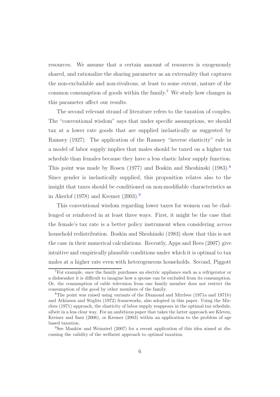resources. We assume that a certain amount of resources is exogenously shared, and rationalize the sharing parameter as an externality that captures the non-excludable and non-rivalrous, at least to some extent, nature of the common consumption of goods within the family.<sup>[7](#page-6-2)</sup> We study how changes in this parameter affect our results.

The second relevant strand of literature refers to the taxation of couples. The "conventional wisdom" says that under specific assumptions, we should tax at a lower rate goods that are supplied inelastically as suggested by Ramsey (1927). The application of the Ramsey "inverse elasticity" rule in a model of labor supply implies that males should be taxed on a higher tax schedule than females because they have a less elastic labor supply function. This point was made by Rosen (1977) and Boskin and Sheshinski (19[8](#page-6-1)3).<sup>8</sup> Since gender is inelastically supplied, this proposition relates also to the insight that taxes should be conditioned on non-modifiable characteristics as in Akerlof (1[9](#page-6-0)78) and Kremer  $(2003).<sup>9</sup>$ 

This conventional wisdom regarding lower taxes for women can be challenged or reinforced in at least three ways. First, it might be the case that the female's tax rate is a better policy instrument when considering *across* household redistribution. Boskin and Sheshinski (1983) show that this is not the case in their numerical calculations. Recently, Apps and Rees (2007) give intuitive and empirically plausible conditions under which it is optimal to tax males at a higher rate even with heterogeneous households. Second, Piggott

<span id="page-6-2"></span><sup>7</sup>For example, once the family purchases an electric appliance such as a refrigerator or a dishwasher it is difficult to imagine how a spouse can be excluded from its consumption. Or, the consumption of cable television from one family member does not restrict the consumption of the good by other members of the family.

<span id="page-6-1"></span><sup>8</sup>The point was raised using variants of the Diamond and Mirrlees (1971a and 1971b) and Atkinson and Stiglitz (1972) frameworks, also adopted in this paper. Using the Mirrlees (1971) approach, the elasticity of labor supply reappears in the optimal tax schedule, albeit in a less clear way. For an ambitious paper that takes the latter approach see Kleven, Kreiner and Saez (2006), or Kremer (2003) within an application to the problem of age based taxation.

<span id="page-6-0"></span><sup>9</sup>See Mankiw and Weinzierl (2007) for a recent application of this idea aimed at discussing the validity of the welfarist approach to optimal taxation.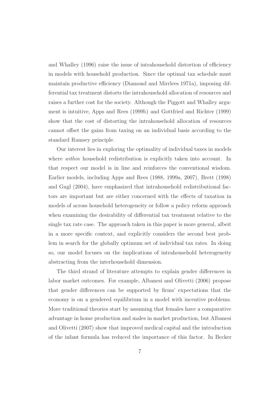and Whalley (1996) raise the issue of intrahousehold distortion of efficiency in models with household production. Since the optimal tax schedule must maintain productive efficiency (Diamond and Mirrlees 1971a), imposing differential tax treatment distorts the intrahousehold allocation of resources and raises a further cost for the society. Although the Piggott and Whalley argument is intuitive, Apps and Rees (1999b) and Gottfried and Richter (1999) show that the cost of distorting the intrahousehold allocation of resources cannot offset the gains from taxing on an individual basis according to the standard Ramsey principle.

Our interest lies in exploring the optimality of individual taxes in models where *within* household redistribution is explicitly taken into account. In that respect our model is in line and reinforces the conventional wisdom. Earlier models, including Apps and Rees (1988, 1999a, 2007), Brett (1998) and Gugl (2004), have emphasized that intrahousehold redistributional factors are important but are either concerned with the effects of taxation in models of across household heterogeneity or follow a policy reform approach when examining the desirability of differential tax treatment relative to the single tax rate case. The approach taken in this paper is more general, albeit in a more specific context, and explicitly considers the second best problem in search for the globally optimum set of individual tax rates. In doing so, our model focuses on the implications of intrahousehold heterogeneity abstracting from the interhousehold dimension.

The third strand of literature attempts to explain gender differences in labor market outcomes. For example, Albanesi and Olivetti (2006) propose that gender differences can be supported by firms' expectations that the economy is on a gendered equilibrium in a model with incentive problems. More traditional theories start by assuming that females have a comparative advantage in home production and males in market production, but Albanesi and Olivetti (2007) show that improved medical capital and the introduction of the infant formula has reduced the importance of this factor. In Becker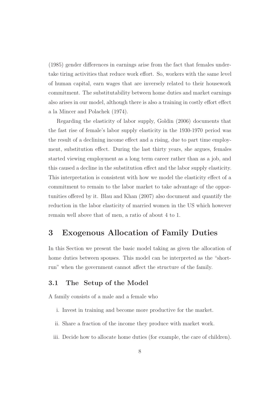(1985) gender differences in earnings arise from the fact that females undertake tiring activities that reduce work effort. So, workers with the same level of human capital, earn wages that are inversely related to their housework commitment. The substitutability between home duties and market earnings also arises in our model, although there is also a training in costly effort effect a la Mincer and Polachek (1974).

Regarding the elasticity of labor supply, Goldin (2006) documents that the fast rise of female's labor supply elasticity in the 1930-1970 period was the result of a declining income effect and a rising, due to part time employment, substitution effect. During the last thirty years, she argues, females started viewing employment as a long term career rather than as a job, and this caused a decline in the substitution effect and the labor supply elasticity. This interpretation is consistent with how we model the elasticity effect of a commitment to remain to the labor market to take advantage of the opportunities offered by it. Blau and Khan (2007) also document and quantify the reduction in the labor elasticity of married women in the US which however remain well above that of men, a ratio of about 4 to 1.

# <span id="page-8-0"></span>**3 Exogenous Allocation of Family Duties**

In this Section we present the basic model taking as given the allocation of home duties between spouses. This model can be interpreted as the "shortrun" when the government cannot affect the structure of the family.

#### <span id="page-8-1"></span>**3.1 The Setup of the Model**

A family consists of a male and a female who

- i. Invest in training and become more productive for the market.
- ii. Share a fraction of the income they produce with market work.
- iii. Decide how to allocate home duties (for example, the care of children).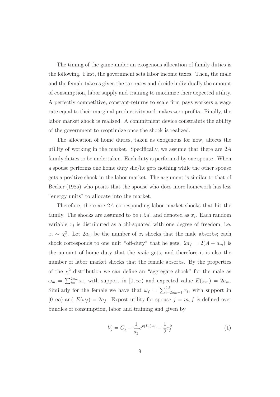The timing of the game under an exogenous allocation of family duties is the following. First, the government sets labor income taxes. Then, the male and the female take as given the tax rates and decide individually the amount of consumption, labor supply and training to maximize their expected utility. A perfectly competitive, constant-returns to scale firm pays workers a wage rate equal to their marginal productivity and makes zero profits. Finally, the labor market shock is realized. A commitment device constraints the ability of the government to reoptimize once the shock is realized.

The allocation of home duties, taken as exogenous for now, affects the utility of working in the market. Specifically, we assume that there are 2*A* family duties to be undertaken. Each duty is performed by one spouse. When a spouse performs one home duty she/he gets nothing while the other spouse gets a positive shock in the labor market. The argument is similar to that of Becker (1985) who posits that the spouse who does more homework has less "energy units" to allocate into the market.

Therefore, there are 2*A* corresponding labor market shocks that hit the family. The shocks are assumed to be *i.i.d.* and denoted as  $x_i$ . Each random variable  $x_i$  is distributed as a chi-squared with one degree of freedom, i.e.  $x_i \sim \chi_1^2$ . Let  $2a_m$  be the number of  $x_i$  shocks that the male absorbs; each shock corresponds to one unit "off-duty" that he gets.  $2a_f = 2(A - a_m)$  is the amount of home duty that the *male* gets, and therefore it is also the number of labor market shocks that the female absorbs. By the properties of the  $\chi^2$  distribution we can define an "aggregate shock" for the male as  $\omega_m = \sum_{i=1}^{2a_m} x_i$ , with support in  $[0, \infty)$  and expected value  $E(\omega_m) = 2a_m$ . Similarly for the female we have that  $\omega_f = \sum_{i=2a_m+1}^{2A} x_i$ , with support in  $[0, \infty)$  and  $E(\omega_f) = 2a_f$ . Expost utility for spouse  $j = m, f$  is defined over bundles of consumption, labor and training and given by

<span id="page-9-0"></span>
$$
V_j = C_j - \frac{1}{a_j} e^{v(L_j)\omega_j} - \frac{1}{2}\tau_j^2
$$
\n(1)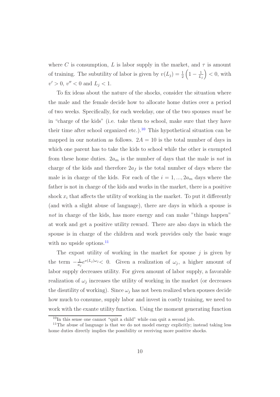where *C* is consumption, *L* is labor supply in the market, and  $\tau$  is amount of training. The subutility of labor is given by  $v(L_j) = \frac{1}{2}$  $\left(1-\frac{1}{L_j}\right)$  $\overline{ }$ *<* 0, with  $v' > 0$ ,  $v'' < 0$  and  $L_j < 1$ .

To fix ideas about the nature of the shocks, consider the situation where the male and the female decide how to allocate home duties over a period of two weeks. Specifically, for each weekday, one of the two spouses *must* be in "charge of the kids" (i.e. take them to school, make sure that they have their time after school organized etc.).<sup>[10](#page-10-1)</sup> This hypothetical situation can be mapped in our notation as follows.  $2A = 10$  is the total number of days in which one parent has to take the kids to school while the other is exempted from these home duties. 2*a<sup>m</sup>* is the number of days that the male is *not* in charge of the kids and therefore  $2a_f$  is the total number of days where the male is in charge of the kids. For each of the  $i = 1, ..., 2a_m$  days where the father is not in charge of the kids and works in the market, there is a positive shock  $x_i$  that affects the utility of working in the market. To put it differently (and with a slight abuse of language), there are days in which a spouse is *not* in charge of the kids, has more energy and can make "things happen" at work and get a positive utility reward. There are also days in which the spouse is in charge of the children and work provides only the basic wage with no upside options.<sup>[11](#page-10-0)</sup>

The expost utility of working in the market for spouse *j* is given by the term  $-\frac{1}{a_j}e^{v(L_j)\omega_j} < 0$ . Given a realization of  $\omega_j$ , a higher amount of labor supply decreases utility. For given amount of labor supply, a favorable realization of  $\omega_i$  increases the utility of working in the market (or decreases the disutility of working). Since  $\omega_j$  has not been realized when spouses decide how much to consume, supply labor and invest in costly training, we need to work with the exante utility function. Using the moment generating function

 $10$ In this sense one cannot "quit a child" while can quit a second job.

<span id="page-10-1"></span><span id="page-10-0"></span><sup>&</sup>lt;sup>11</sup>The abuse of language is that we do not model energy explicitly; instead taking less home duties directly implies the possibility or receiving more positive shocks.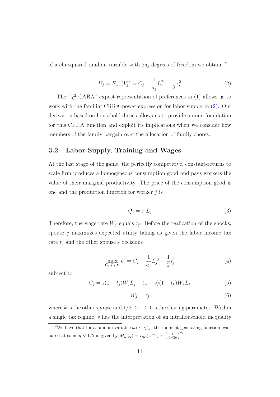<span id="page-11-0"></span>of a chi-squared random variable with  $2a_j$  degrees of freedom we obtain  $^{12}$  $^{12}$  $^{12}$ 

$$
U_j = E_{\omega_j} (V_j) = C_j - \frac{1}{a_j} L_j^{a_j} - \frac{1}{2} \tau_j^2
$$
 (2)

The " $\chi^2$ -CARA" expost representation of preferences in [\(1\)](#page-9-0) allows us to work with the familiar CRRA-power expression for labor supply in [\(2\)](#page-11-0). Our derivation based on household duties allows us to provide a microfoundation for this CRRA function and exploit its implications when we consider how members of the family bargain over the allocation of family chores.

### <span id="page-11-2"></span>**3.2 Labor Supply, Training and Wages**

At the last stage of the game, the perfectly competitive, constant-returns to scale firm produces a homogeneous consumption good and pays workers the value of their marginal productivity. The price of the consumption good is one and the production function for worker *j* is

$$
Q_j = \tau_j L_j \tag{3}
$$

Therefore, the wage rate  $W_j$  equals  $\tau_j$ . Before the realization of the shocks, spouse *j* maximizes expected utility taking as given the labor income tax rate  $t_j$  and the other spouse's decisions

$$
\max_{C_j, L_j, \tau_j} U = C_j - \frac{1}{a_j} L_j^{a_j} - \frac{1}{2} \tau_j^2 \tag{4}
$$

<span id="page-11-5"></span><span id="page-11-4"></span>subject to

<span id="page-11-3"></span>
$$
C_j = s(1 - t_j)W_j L_j + (1 - s)(1 - t_k)W_k L_k
$$
\n(5)

$$
W_j = \tau_j \tag{6}
$$

where *k* is the other spouse and  $1/2 \leq s \leq 1$  is the sharing parameter. Within a single tax regime, *s* has the interpretation of an intrahousehold inequality

<span id="page-11-1"></span><sup>&</sup>lt;sup>12</sup>We have that for a random variable  $\omega_j \sim \chi^2_{2a_j}$  the moment generating function evaluated at some  $q < 1/2$  is given by  $M_{\omega}(q) = E_{\omega}(e^{q\omega_j}) = \left(\frac{1}{1-2q}\right)$  $a_j$ .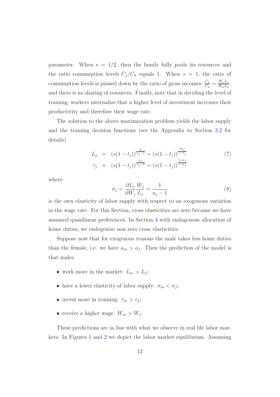parameter. When  $s = 1/2$ , then the family fully pools its resources and the ratio consumption levels  $C_j/C_k$  equals 1. When  $s = 1$ , the ratio of consumption levels is pinned down by the ratio of gross incomes,  $\frac{C_j}{C_k} = \frac{W_j L_j}{W_k L_k}$ , and there is no sharing of resources. Finally, note that in deciding the level of training, workers internalize that a higher level of investment increases their productivity and therefore their wage rate.

<span id="page-12-0"></span>The solution to the above maximization problem yields the labor supply and the training decision functions (see the Appendix to Section [3.2](#page-11-2) for details)

$$
L_j = (s(1-t_j))^{\frac{2}{a_j-2}} = (s(1-t_j))^{\frac{2\sigma_j}{1-\sigma_j}}
$$
  
\n
$$
\tau_j = (s(1-t_j))^{\frac{a_j}{a_j-2}} = (s(1-t_j))^{\frac{1+\sigma_j}{1-\sigma_j}}
$$
\n(7)

<span id="page-12-1"></span>where

$$
\sigma_j = \frac{\partial L_j}{\partial W_j} \frac{W_j}{L_j} = \frac{1}{a_j - 1} \tag{8}
$$

is the own elasticity of labor supply with respect to an exogenous variation in the wage rate. For this Section, cross elasticities are zero because we have assumed quasilinear preferences. In Section [4](#page-17-0) with endogenous allocation of home duties, we endogenize non zero cross elasticities.

Suppose now that for exogenous reasons the male takes less home duties than the female, i.e. we have  $a_m > a_f$ . Then the prediction of the model is that males

- work more in the market:  $L_m > L_f$ ;
- have a lower elasticity of labor supply:  $\sigma_m < \sigma_f$ ;
- invest more in training:  $\tau_m > \tau_f$ ;
- receive a higher wage:  $W_m > W_f$ .

These predictions are in line with what we observe in real life labor markets. In Figures [1](#page-45-0) and [2](#page-46-0) we depict the labor market equilibrium. Assuming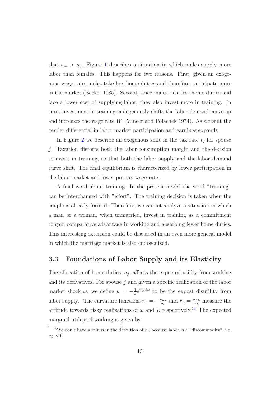that  $a_m > a_f$ , Figure [1](#page-45-0) describes a situation in which males supply more labor than females. This happens for two reasons. First, given an exogenous wage rate, males take less home duties and therefore participate more in the market (Becker 1985). Second, since males take less home duties and face a lower cost of supplying labor, they also invest more in training. In turn, investment in training endogenously shifts the labor demand curve up and increases the wage rate *W* (Mincer and Polachek 1974). As a result the gender differential in labor market participation and earnings expands.

In Figure [2](#page-46-0) we describe an exogenous shift in the tax rate  $t_j$  for spouse *j*. Taxation distorts both the labor-consumption margin and the decision to invest in training, so that both the labor supply and the labor demand curve shift. The final equilibrium is characterized by lower participation in the labor market and lower pre-tax wage rate.

A final word about training. In the present model the word "training" can be interchanged with "effort". The training decision is taken when the couple is already formed. Therefore, we cannot analyze a situation in which a man or a woman, when unmarried, invest in training as a commitment to gain comparative advantage in working and absorbing fewer home duties. This interesting extension could be discussed in an even more general model in which the marriage market is also endogenized.

#### <span id="page-13-1"></span>**3.3 Foundations of Labor Supply and its Elasticity**

The allocation of home duties, *aj*, affects the expected utility from working and its derivatives. For spouse *j* and given a specific realization of the labor market shock  $\omega$ , we define  $u = -\frac{1}{a}e^{v(L)\omega}$  to be the expost disutility from labor supply. The curvature functions  $r_{\omega} = -\frac{u_{\omega\omega}}{u_{\omega}}$  and  $r_L = \frac{u_{LL}}{u_L}$  measure the attitude towards risky realizations of  $\omega$  and  $L$  respectively.<sup>[13](#page-13-0)</sup> The expected marginal utility of working is given by

<span id="page-13-0"></span><sup>&</sup>lt;sup>13</sup>We don't have a minus in the definition of  $r<sub>L</sub>$  because labor is a "discommodity", i.e.  $u_L < 0.$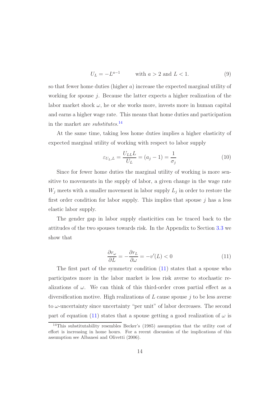$$
U_L = -L^{a-1} \qquad \text{with } a > 2 \text{ and } L < 1. \tag{9}
$$

<span id="page-14-3"></span>so that fewer home duties (higher *a*) increase the expected marginal utility of working for spouse *j*. Because the latter expects a higher realization of the labor market shock  $\omega$ , he or she works more, invests more in human capital and earns a higher wage rate. This means that home duties and participation in the market are *substitutes*. [14](#page-14-1)

At the same time, taking less home duties implies a higher elasticity of expected marginal utility of working with respect to labor supply

$$
\varepsilon_{U_L,L} = \frac{U_{LL}L}{U_L} = (a_j - 1) = \frac{1}{\sigma_j} \tag{10}
$$

<span id="page-14-2"></span>Since for fewer home duties the marginal utility of working is more sensitive to movements in the supply of labor, a given change in the wage rate  $W_j$  meets with a smaller movement in labor supply  $L_j$  in order to restore the first order condition for labor supply. This implies that spouse *j* has a less elastic labor supply.

The gender gap in labor supply elasticities can be traced back to the attitudes of the two spouses towards risk. In the Appendix to Section [3.3](#page-13-1) we show that

$$
\frac{\partial r_{\omega}}{\partial L} = -\frac{\partial r_L}{\partial \omega} = -v'(L) < 0 \tag{11}
$$

<span id="page-14-0"></span>The first part of the symmetry condition [\(11\)](#page-14-0) states that a spouse who participates more in the labor market is less risk averse to stochastic realizations of  $\omega$ . We can think of this third-order cross partial effect as a diversification motive. High realizations of *L* cause spouse *j* to be less averse to *ω*-uncertainty since uncertainty "per unit" of labor decreases. The second part of equation [\(11\)](#page-14-0) states that a spouse getting a good realization of  $\omega$  is

<span id="page-14-1"></span><sup>14</sup>This substitutability resembles Becker's (1985) assumption that the utility cost of effort is increasing in home hours. For a recent discussion of the implications of this assumption see Albanesi and Olivetti (2006).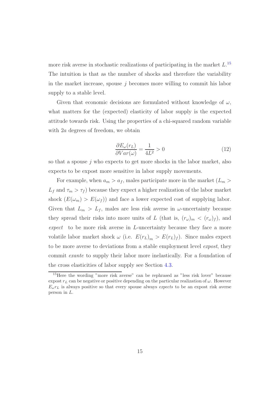more risk averse in stochastic realizations of participating in the market *L*. [15](#page-15-0) The intuition is that as the number of shocks and therefore the variability in the market increase, spouse *j* becomes more willing to commit his labor supply to a stable level.

Given that economic decisions are formulated without knowledge of *ω*, what matters for the (expected) elasticity of labor supply is the expected attitude towards risk. Using the properties of a chi-squared random variable with 2*a* degrees of freedom, we obtain

<span id="page-15-1"></span>
$$
\frac{\partial E_{\omega}(r_L)}{\partial Var(\omega)} = \frac{1}{4L^2} > 0\tag{12}
$$

so that a spouse *j* who expects to get more shocks in the labor market, also expects to be expost more sensitive in labor supply movements.

For example, when  $a_m > a_f$ , males participate more in the market  $(L_m >$  $L_f$  and  $\tau_m > \tau_f$ ) because they expect a higher realization of the labor market shock  $(E(\omega_m) > E(\omega_f))$  and face a lower expected cost of supplying labor. Given that  $L_m > L_f$ , males are less risk averse in  $\omega$ -uncertainty because they spread their risks into more units of *L* (that is,  $(r_\omega)_m < (r_\omega)_f$ ), and *expect* to be more risk averse in *L*-uncertainty because they face a more volatile labor market shock  $\omega$  (i.e.  $E(r_L)_m > E(r_L)_f$ ). Since males expect to be more averse to deviations from a stable employment level *expost*, they commit *exante* to supply their labor more inelastically. For a foundation of the cross elasticities of labor supply see Section [4.3.](#page-21-0)

<span id="page-15-0"></span><sup>15</sup>Here the wording "more risk averse" can be rephrased as "less risk lover" because expost  $r<sub>L</sub>$  can be negative or positive depending on the particular realization of  $\omega$ . However  $E_{\omega}r_L$  is always positive so that every spouse always *expects* to be an expost risk averse person in *L*.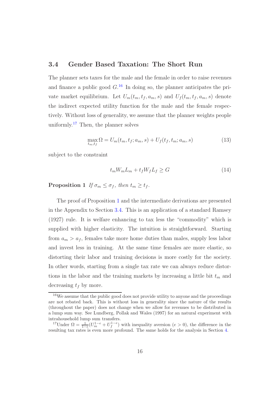## <span id="page-16-0"></span>**3.4 Gender Based Taxation: The Short Run**

The planner sets taxes for the male and the female in order to raise revenues and finance a public good  $G<sup>16</sup>$  $G<sup>16</sup>$  $G<sup>16</sup>$  In doing so, the planner anticipates the private market equilibrium. Let  $U_m(t_m, t_f, a_m, s)$  and  $U_f(t_m, t_f, a_m, s)$  denote the indirect expected utility function for the male and the female respectively. Without loss of generality, we assume that the planner weights people uniformly.<sup>[17](#page-16-2)</sup> Then, the planner solves

$$
\max_{t_m, t_f} \Omega = U_m(t_m, t_f; a_m, s) + U_f(t_f, t_m; a_m, s)
$$
\n(13)

subject to the constraint

$$
t_m W_m L_m + t_f W_f L_f \ge G \tag{14}
$$

<span id="page-16-1"></span>**Proposition 1** *If*  $\sigma_m \leq \sigma_f$ , then  $t_m \geq t_f$ .

The proof of Proposition [1](#page-16-1) and the intermediate derivations are presented in the Appendix to Section [3.4.](#page-16-0) This is an application of a standard Ramsey (1927) rule. It is welfare enhancing to tax less the "commodity" which is supplied with higher elasticity. The intuition is straightforward. Starting from  $a_m > a_f$ , females take more home duties than males, supply less labor and invest less in training. At the same time females are more elastic, so distorting their labor and training decisions is more costly for the society. In other words, starting from a single tax rate we can always reduce distortions in the labor and the training markets by increasing a little bit *t<sup>m</sup>* and decreasing *t<sup>f</sup>* by more.

<span id="page-16-3"></span><sup>&</sup>lt;sup>16</sup>We assume that the public good does not provide utility to anyone and the proceedings are not rebated back. This is without loss in generality since the nature of the results (throughout the paper) does not change when we allow for revenues to be distributed in a lump sum way. See Lundberg, Pollak and Wales (1997) for an natural experiment with intrahousehold lump sum transfers.

<span id="page-16-2"></span><sup>&</sup>lt;sup>17</sup>Under  $\Omega = \frac{1}{1-e}(U_m^{1-e} + U_f^{1-e})$  with inequality aversion  $(e > 0)$ , the difference in the resulting tax rates is even more profound. The same holds for the analysis in Section [4.](#page-17-0)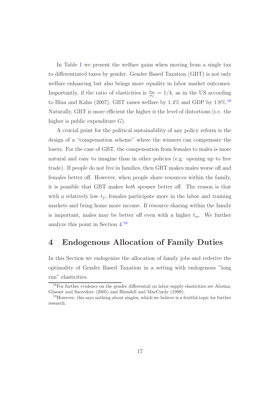In Table [1](#page-44-0) we present the welfare gains when moving from a single tax to differentiated taxes by gender. Gender Based Taxation (GBT) is not only welfare enhancing but also brings more equality in labor market outcomes. Importantly, if the ratio of elasticities is  $\frac{\sigma_m}{\sigma_f} = 1/4$ , as in the US according to Blau and Kahn (2007), GBT raises welfare by  $1.4\%$  and GDP by  $1.8\%$ .<sup>[18](#page-17-2)</sup> Naturally, GBT is more efficient the higher is the level of distortions (i.e. the higher is public expenditure *G*).

A crucial point for the political sustainability of any policy reform is the design of a "compensation scheme" where the winners can compensate the losers. For the case of GBT, the compensation from females to males is more natural and easy to imagine than in other policies (e.g. opening up to free trade). If people do not live in families, then GBT makes males worse off and females better off. However, when people share resources within the family, it is possible that GBT makes *both* spouses better off. The reason is that with a relatively low  $t_f$ , females participate more in the labor and training markets and bring home more income. If resource sharing within the family is important, males may be better off even with a higher  $t_m$ . We further analyze this point in Section [4.](#page-17-0) [19](#page-17-1)

# <span id="page-17-0"></span>**4 Endogenous Allocation of Family Duties**

In this Section we endogenize the allocation of family jobs and rederive the optimality of Gender Based Taxation in a setting with endogenous "long run" elasticities.

<span id="page-17-2"></span><sup>&</sup>lt;sup>18</sup>For further evidence on the gender differential on labor supply elasticities see Alesina, Glaeser and Sacerdote (2005) and Blundell and MacCurdy (1999).

<span id="page-17-1"></span><sup>19</sup>However, this says nothing about singles, which we believe is a fruitful topic for further research.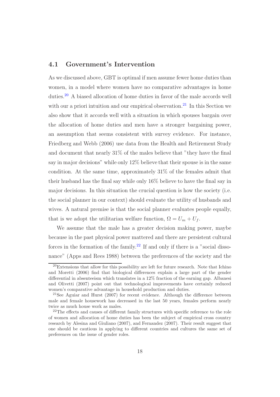### <span id="page-18-3"></span>**4.1 Government's Intervention**

As we discussed above, GBT is optimal if men assume fewer home duties than women, in a model where women have no comparative advantages in home duties.[20](#page-18-2) A biased allocation of home duties in favor of the male accords well with our a priori intuition and our empirical observation.<sup>[21](#page-18-1)</sup> In this Section we also show that it accords well with a situation in which spouses bargain over the allocation of home duties and men have a stronger bargaining power, an assumption that seems consistent with survey evidence. For instance, Friedberg and Webb (2006) use data from the Health and Retirement Study and document that nearly 31% of the males believe that "they have the final say in major decisions" while only 12% believe that their spouse is in the same condition. At the same time, approximately 31% of the females admit that their husband has the final say while only 16% believe to have the final say in major decisions. In this situation the crucial question is how the society (i.e. the social planner in our context) should evaluate the utility of husbands and wives. A natural premise is that the social planner evaluates people equally, that is we adopt the utilitarian welfare function,  $\Omega = U_m + U_f$ .

We assume that the male has a greater decision making power, maybe because in the past physical power mattered and there are persistent cultural forces in the formation of the family.<sup>[22](#page-18-0)</sup> If and only if there is a "social dissonance" (Apps and Rees 1988) between the preferences of the society and the

<span id="page-18-2"></span> $^{20}$ Extensions that allow for this possibility are left for future research. Note that Ichino and Moretti (2006) find that biological differences explain a large part of the gender differential in absenteeism which translates in a 12% fraction of the earning gap. Albanesi and Olivetti (2007) point out that technological improvements have certainly reduced women's comparative advantage in household production and duties.

<span id="page-18-1"></span><sup>&</sup>lt;sup>21</sup>See Aguiar and Hurst (2007) for recent evidence. Although the difference between male and female housework has decreased in the last 50 years, females perform nearly twice as much house work as males.

<span id="page-18-0"></span><sup>22</sup>The effects and causes of different family structures with specific reference to the role of women and allocation of home duties has been the subject of empirical cross country research by Alesina and Giuliano (2007), and Fernandez (2007). Their result suggest that one should be cautious in applying to different countries and cultures the same set of preferences on the issue of gender roles.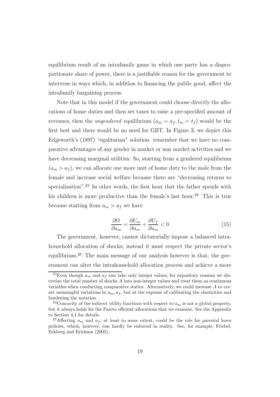equilibrium result of an intrafamily game in which one party has a disproportionate share of power, there is a justifiable reason for the government to intervene in ways which, in addition to financing the public good, affect the intrafamily bargaining process.

Note that in this model if the government could choose directly the allocations of home duties and then set taxes to raise a pre-specified amount of revenues, then the *ungendered* equilibrium  $(a_m = a_f, t_m = t_f)$  would be the first best and there would be no need for GBT. In Figure [3,](#page-47-0) we depict this Edgeworth's (1897) "egalitarian" solution: remember that we have no comparative advantages of any gender in market or non market activities and we have decreasing marginal utilities. So, starting from a gendered equilibrium  $(a_m > a_f)$ , we can allocate one more unit of home duty to the male from the female and increase social welfare because there are "decreasing returns to specialization".<sup>[23](#page-19-2)</sup> In other words, the first hour that the father spends with his children is more productive than the female's last hour.<sup>[24](#page-19-1)</sup> This is true because starting from  $a_m > a_f$  we have

$$
\frac{\partial \Omega}{\partial a_m} = \frac{\partial U_m}{\partial a_m} + \frac{\partial U_f}{\partial a_m} < 0 \tag{15}
$$

<span id="page-19-3"></span>The government, however, cannot dictatorially impose a balanced intrahousehold allocation of shocks; instead it must respect the private sector's equilibrium.<sup>[25](#page-19-0)</sup> The main message of our analysis however is that, the government can alter the intrahousehold allocation process and achieve a more

<span id="page-19-2"></span><sup>&</sup>lt;sup>23</sup>Even though  $a_m$  and  $a_f$  can take only integer values, for expository reasons we discretize the total number of shocks *A* into non-integer values and treat them as continuous variables when conducting comparative statics. Alternatively, we could increase *A* to create meaningful variations in  $a_m, a_f$ , but at the expense of calibrating the elasticities and burdening the notation.

<span id="page-19-1"></span><sup>&</sup>lt;sup>24</sup>Concavity of the indirect utility functions with respect to  $a_m$  is not a global property, but it always holds for the Pareto efficient allocations that we examine. See the Appendix to Section [4.1](#page-18-3) for details.

<span id="page-19-0"></span><sup>&</sup>lt;sup>25</sup>Affecting  $a_m$  and  $a_f$ , at least to some extent, could be the role for parental leave policies, which, however, can hardly be enforced in reality. See, for example, Friebel, Eckberg and Erickson (2005).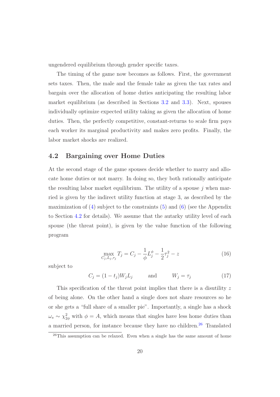ungendered equilibrium through gender specific taxes.

The timing of the game now becomes as follows. First, the government sets taxes. Then, the male and the female take as given the tax rates and bargain over the allocation of home duties anticipating the resulting labor market equilibrium (as described in Sections [3.2](#page-11-2) and [3.3\)](#page-13-1). Next, spouses individually optimize expected utility taking as given the allocation of home duties. Then, the perfectly competitive, constant-returns to scale firm pays each worker its marginal productivity and makes zero profits. Finally, the labor market shocks are realized.

### <span id="page-20-1"></span>**4.2 Bargaining over Home Duties**

At the second stage of the game spouses decide whether to marry and allocate home duties or not marry. In doing so, they both rationally anticipate the resulting labor market equilibrium. The utility of a spouse *j* when married is given by the indirect utility function at stage 3, as described by the maximization of  $(4)$  subject to the constraints  $(5)$  and  $(6)$  (see the Appendix to Section [4.2](#page-20-1) for details). We assume that the autarky utility level of each spouse (the threat point), is given by the value function of the following program

$$
\max_{C_j, L_j, \tau_j} T_j = C_j - \frac{1}{\phi} L_j^{\phi} - \frac{1}{2} \tau_j^2 - z \tag{16}
$$

subject to

$$
C_j = (1 - t_j)W_j L_j \qquad \text{and} \qquad W_j = \tau_j \tag{17}
$$

This specification of the threat point implies that there is a disutility *z* of being alone. On the other hand a single does not share resources so he or she gets a "full share of a smaller pie". Importantly, a single has a shock  $\omega_s \sim \chi^2_{2\phi}$  with  $\phi = A$ , which means that singles have less home duties than a married person, for instance because they have no children.<sup>[26](#page-20-0)</sup> Translated

<span id="page-20-0"></span> $^{26}$ This assumption can be relaxed. Even when a single has the same amount of home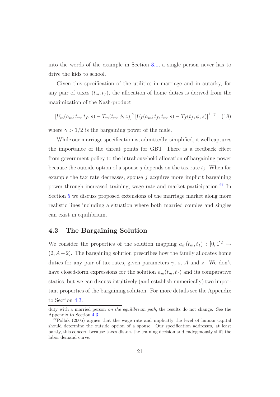into the words of the example in Section [3.1,](#page-8-1) a single person never has to drive the kids to school.

Given this specification of the utilities in marriage and in autarky, for any pair of taxes  $(t_m, t_f)$ , the allocation of home duties is derived from the maximization of the Nash-product

$$
[U_m(a_m; t_m, t_f, s) - T_m(t_m, \phi, z)]^{\gamma} [U_f(a_m; t_f, t_m, s) - T_f(t_f, \phi, z)]^{1-\gamma} \quad (18)
$$

<span id="page-21-2"></span>where  $\gamma > 1/2$  is the bargaining power of the male.

While our marriage specification is, admittedly, simplified, it well captures the importance of the threat points for GBT. There is a feedback effect from government policy to the intrahousehold allocation of bargaining power because the outside option of a spouse  $j$  depends on the tax rate  $t_j$ . When for example the tax rate decreases, spouse *j* acquires more implicit bargaining power through increased training, wage rate and market participation.[27](#page-21-1) In Section [5](#page-28-0) we discuss proposed extensions of the marriage market along more realistic lines including a situation where both married couples and singles can exist in equilibrium.

#### <span id="page-21-0"></span>**4.3 The Bargaining Solution**

We consider the properties of the solution mapping  $a_m(t_m, t_f) : [0, 1]^2 \mapsto$  $(2, A-2)$ . The bargaining solution prescribes how the family allocates home duties for any pair of tax rates, given parameters  $\gamma$ , *s*, *A* and *z*. We don't have closed-form expressions for the solution  $a_m(t_m, t_f)$  and its comparative statics, but we can discuss intuitively (and establish numerically) two important properties of the bargaining solution. For more details see the Appendix to Section [4.3.](#page-21-0)

duty with a married person *on the equilibrium path*, the results do not change. See the Appendix to Section [4.3.](#page-21-0)

<span id="page-21-1"></span><sup>27</sup>Pollak (2005) argues that the wage rate and implicitly the level of human capital should determine the outside option of a spouse. Our specification addresses, at least partly, this concern because taxes distort the training decision and endogenously shift the labor demand curve.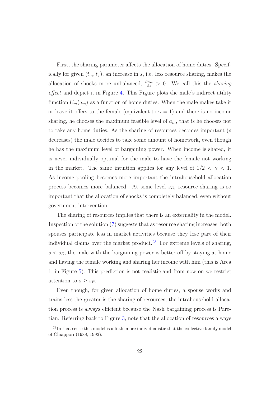First, the sharing parameter affects the allocation of home duties. Specifically for given  $(t_m, t_f)$ , an increase in *s*, i.e. less resource sharing, makes the allocation of shocks more unbalanced,  $\frac{\partial a_m}{\partial s} > 0$ . We call this the *sharing effect* and depict it in Figure [4.](#page-48-0) This Figure plots the male's indirect utility function  $U_m(a_m)$  as a function of home duties. When the male makes take it or leave it offers to the female (equivalent to  $\gamma = 1$ ) and there is no income sharing, he chooses the maximum feasible level of *am*, that is he chooses not to take any home duties. As the sharing of resources becomes important (*s* decreases) the male decides to take some amount of homework, even though he has the maximum level of bargaining power. When income is shared, it is never individually optimal for the male to have the female not working in the market. The same intuition applies for any level of  $1/2 < \gamma < 1$ . As income pooling becomes more important the intrahousehold allocation process becomes more balanced. At some level *sE*, resource sharing is so important that the allocation of shocks is completely balanced, even without government intervention.

The sharing of resources implies that there is an externality in the model. Inspection of the solution [\(7\)](#page-12-0) suggests that as resource sharing increases, both spouses participate less in market activities because they lose part of their individual claims over the market product.<sup>[28](#page-22-0)</sup> For extreme levels of sharing,  $s < s_E$ , the male with the bargaining power is better off by staying at home and having the female working and sharing her income with him (this is Area 1, in Figure [5\)](#page-49-0). This prediction is not realistic and from now on we restrict attention to  $s \geq s_E$ .

Even though, for given allocation of home duties, a spouse works and trains less the greater is the sharing of resources, the intrahousehold allocation process is always efficient because the Nash bargaining process is Paretian. Referring back to Figure [3,](#page-47-0) note that the allocation of resources always

<span id="page-22-0"></span><sup>&</sup>lt;sup>28</sup>In that sense this model is a little more individualistic that the collective family model of Chiappori (1988, 1992).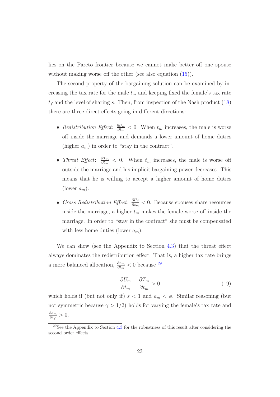lies on the Pareto frontier because we cannot make better off one spouse without making worse off the other (see also equation  $(15)$ ).

The second property of the bargaining solution can be examined by increasing the tax rate for the male  $t_m$  and keeping fixed the female's tax rate  $t_f$  and the level of sharing *s*. Then, from inspection of the Nash product  $(18)$ there are three direct effects going in different directions:

- *Redistribution Effect*:  $\frac{\partial U_m}{\partial t_m}$  *< 0.* When  $t_m$  increases, the male is worse off inside the marriage and demands a lower amount of home duties (higher  $a_m$ ) in order to "stay in the contract".
- *Threat Effect*:  $\frac{\partial T_m}{\partial t_m}$   $\lt$  0. When  $t_m$  increases, the male is worse off outside the marriage and his implicit bargaining power decreases. This means that he is willing to accept a higher amount of home duties (lower  $a_m$ ).
- *Cross Redistribution Effect*: *∂U<sup>f</sup> ∂t<sup>m</sup> <* 0. Because spouses share resources inside the marriage, a higher  $t_m$  makes the female worse off inside the marriage. In order to "stay in the contract" she must be compensated with less home duties (lower  $a_m$ ).

We can show (see the Appendix to Section [4.3\)](#page-21-0) that the threat effect always dominates the redistribution effect. That is, a higher tax rate brings a more balanced allocation,  $\frac{\partial a_m}{\partial t_m} < 0$  because <sup>[29](#page-23-0)</sup>

$$
\frac{\partial U_m}{\partial t_m} - \frac{\partial T_m}{\partial t_m} > 0 \tag{19}
$$

which holds if (but not only if)  $s < 1$  and  $a_m < \phi$ . Similar reasoning (but not symmetric because  $\gamma > 1/2$ ) holds for varying the female's tax rate and *∂am*  $\frac{\partial a_m}{\partial t_f}$  > 0.

<span id="page-23-0"></span> $^{29}$ See the Appendix to Section [4.3](#page-21-0) for the robustness of this result after considering the second order effects.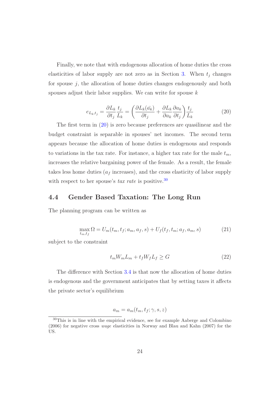Finally, we note that with endogenous allocation of home duties the cross elasticities of labor supply are not zero as in Section [3.](#page-8-0) When  $t_j$  changes for spouse *j*, the allocation of home duties changes endogenously and both spouses adjust their labor supplies. We can write for spouse *k*

$$
e_{L_k,t_j} = \frac{\partial L_k}{\partial t_j} \frac{t_j}{L_k} = \left(\frac{\partial L_k(\bar{a_k})}{\partial t_j} + \frac{\partial L_k}{\partial a_k} \frac{\partial a_k}{\partial t_j}\right) \frac{t_j}{L_k}
$$
(20)

<span id="page-24-1"></span>The first term in [\(20\)](#page-24-1) is zero because preferences are quasilinear and the budget constraint is separable in spouses' net incomes. The second term appears because the allocation of home duties is endogenous and responds to variations in the tax rate. For instance, a higher tax rate for the male  $t_m$ , increases the relative bargaining power of the female. As a result, the female takes less home duties  $(a_f$  increases), and the cross elasticity of labor supply with respect to her spouse's *tax rate* is positive.<sup>[30](#page-24-0)</sup>

### <span id="page-24-2"></span>**4.4 Gender Based Taxation: The Long Run**

<span id="page-24-4"></span>The planning program can be written as

<span id="page-24-3"></span>
$$
\max_{t_m, t_f} \Omega = U_m(t_m, t_f; a_m, a_f, s) + U_f(t_f, t_m; a_f, a_m, s)
$$
\n(21)

subject to the constraint

$$
t_m W_m L_m + t_f W_f L_f \ge G \tag{22}
$$

The difference with Section [3.4](#page-16-0) is that now the allocation of home duties is endogenous and the government anticipates that by setting taxes it affects the private sector's equilibrium

$$
a_m = a_m(t_m, t_f; \gamma, s, z)
$$

<span id="page-24-0"></span><sup>30</sup>This is in line with the empirical evidence, see for example Aaberge and Colombino (2006) for negative cross wage elasticities in Norway and Blau and Kahn (2007) for the US.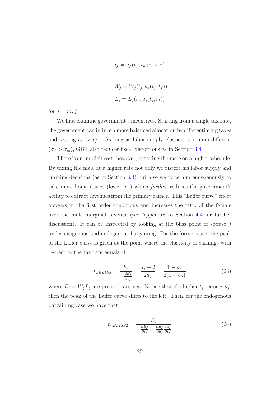$$
a_f = a_f(t_f, t_m; \gamma, s, z).
$$
  
\n
$$
W_j = W_j(t_j, a_j(t_j, t_f))
$$
  
\n
$$
L_j = L_j(t_j, a_j(t_j, t_f))
$$

for  $j = m, f$ .

We first examine government's incentives. Starting from a single tax rate, the government can induce a more balanced allocation by differentiating taxes and setting  $t_m > t_f$ . As long as labor supply elasticities remain different  $(\sigma_f > \sigma_m)$ , GBT also reduces fiscal distortions as in Section [3.4.](#page-16-0)

There is an implicit cost, however, of taxing the male on a higher schedule. By taxing the male at a higher rate not only we distort his labor supply and training decisions (as in Section [3.4\)](#page-16-0) but also we force him endogenously to take more home duties (lower  $a_m$ ) which *further* reduces the government's ability to extract revenues from the primary earner. This "Laffer curve" effect appears in the first order conditions and increases the ratio of the female over the male marginal revenue (see Appendix to Section [4.4](#page-24-2) for further discussion). It can be inspected by looking at the bliss point of spouse *j* under exogenous and endogenous bargaining. For the former case, the peak of the Laffer curve is given at the point where the elasticity of earnings with respect to the tax rate equals -1

$$
t_{j,BLISS} = \frac{E_j}{-\frac{dE_j}{dt_j}} = \frac{a_j - 2}{2a_j} = \frac{1 - \sigma_j}{2(1 + \sigma_j)}
$$
(23)

where  $E_j = W_j L_j$  are pre-tax earnings. Notice that if a higher  $t_j$  reduces  $a_j$ , then the peak of the Laffer curve shifts to the left. Then, for the endogenous bargaining case we have that

$$
t_{j, BLISS2} = \frac{E_j}{-\frac{\partial E_j}{\partial t_j} - \frac{\partial E_j}{\partial a_j} \frac{\partial a_j}{\partial t_j}}
$$
(24)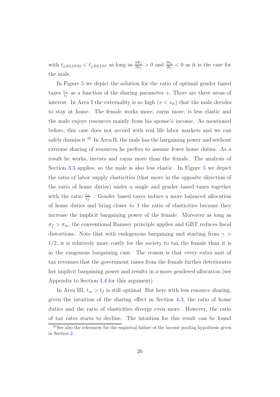with  $t_{j,BLISS2} < t_{j,BLISS}$  as long as  $\frac{\partial E_j}{\partial a_j} > 0$  and  $\frac{\partial a_j}{\partial t_j} < 0$  as it is the case for the male.

In Figure [5](#page-49-0) we depict the solution for the ratio of optimal gender based taxes  $\frac{t_m}{t_f}$  as a function of the sharing parameter *s*. There are three areas of interest. In Area I the externality is so high  $(s < s_E)$  that the male decides to stay at home. The female works more, earns more, is less elastic and the male enjoys resources mainly from his spouse's income. As mentioned before, this case does not accord with real life labor markets and we can safely dismiss it.<sup>[31](#page-26-0)</sup> In Area II, the male has the bargaining power and without extreme sharing of resources he prefers to assume fewer home duties. As a result he works, invests and earns more than the female. The analysis of Section [3.3](#page-13-1) applies, so the male is also less elastic. In Figure [5](#page-49-0) we depict the ratio of labor supply elasticities (that move in the opposite direction of the ratio of home duties) under a single and gender based taxes together with the ratio  $\frac{t_m}{t_f}$ . Gender based taxes induce a more balanced allocation of home duties and bring closer to 1 the ratio of elasticities because they increase the implicit bargaining power of the female. Moreover as long as  $\sigma_f > \sigma_m$ , the conventional Ramsey principle applies and GBT reduces fiscal distortions. Note that with endogenous bargaining and starting from *γ >* 1*/*2, it is relatively more costly for the society to tax the female than it is in the exogenous bargaining case. The reason is that every extra unit of tax revenues that the government raises from the female further deteriorates her implicit bargaining power and results in a more gendered allocation (see Appendix to Section [4.4](#page-24-2) for this argument).

In Area III,  $t_m > t_f$  is still optimal. But here with less resource sharing, given the intuition of the sharing effect in Section [4.3,](#page-21-0) the ratio of home duties and the ratio of elasticities diverge even more. However, the ratio of tax rates starts to decline. The intuition for this result can be found

<span id="page-26-0"></span><sup>&</sup>lt;sup>31</sup>See also the references for the empirical failure of the income pooling hypothesis given in Section [2.](#page-5-0)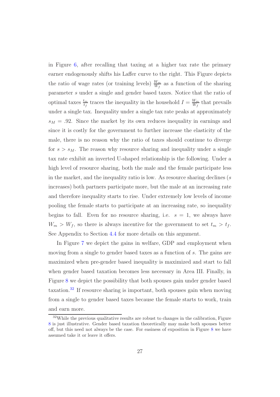in Figure [6,](#page-50-0) after recalling that taxing at a higher tax rate the primary earner endogenously shifts his Laffer curve to the right. This Figure depicts the ratio of wage rates (or training levels)  $\frac{W_m}{W_f}$  as a function of the sharing parameter *s* under a single and gender based taxes. Notice that the ratio of optimal taxes  $\frac{t_m}{t_f}$  traces the inequality in the household  $I = \frac{W_m}{W_f}$  that prevails under a single tax. Inequality under a single tax rate peaks at approximately  $s_M = .92$ . Since the market by its own reduces inequality in earnings and since it is costly for the government to further increase the elasticity of the male, there is no reason why the ratio of taxes should continue to diverge for  $s > s_M$ . The reason why resource sharing and inequality under a single tax rate exhibit an inverted U-shaped relationship is the following. Under a high level of resource sharing, both the male and the female participate less in the market, and the inequality ratio is low. As resource sharing declines (*s* increases) both partners participate more, but the male at an increasing rate and therefore inequality starts to rise. Under extremely low levels of income pooling the female starts to participate at an increasing rate, so inequality begins to fall. Even for no resource sharing, i.e.  $s = 1$ , we always have  $W_m > W_f$ , so there is always incentive for the government to set  $t_m > t_f$ . See Appendix to Section [4.4](#page-24-2) for more details on this argument.

In Figure [7](#page-51-0) we depict the gains in welfare, GDP and employment when moving from a single to gender based taxes as a function of *s*. The gains are maximized when pre-gender based inequality is maximized and start to fall when gender based taxation becomes less necessary in Area III. Finally, in Figure [8](#page-52-0) we depict the possibility that both spouses gain under gender based taxation.[32](#page-27-0) If resource sharing is important, both spouses gain when moving from a single to gender based taxes because the female starts to work, train and earn more.

<span id="page-27-0"></span> $32$ While the previous qualitative results are robust to changes in the calibration, Figure [8](#page-52-0) is just illustrative. Gender based taxation theoretically may make both spouses better off, but this need not always be the case. For easiness of exposition in Figure [8](#page-52-0) we have assumed take it or leave it offers.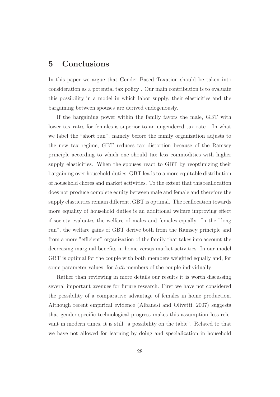# <span id="page-28-0"></span>**5 Conclusions**

In this paper we argue that Gender Based Taxation should be taken into consideration as a potential tax policy . Our main contribution is to evaluate this possibility in a model in which labor supply, their elasticities and the bargaining between spouses are derived endogenously.

If the bargaining power within the family favors the male, GBT with lower tax rates for females is superior to an ungendered tax rate. In what we label the "short run", namely before the family organization adjusts to the new tax regime, GBT reduces tax distortion because of the Ramsey principle according to which one should tax less commodities with higher supply elasticities. When the spouses react to GBT by reoptimizing their bargaining over household duties, GBT leads to a more equitable distribution of household chores and market activities. To the extent that this reallocation does not produce complete equity between male and female and therefore the supply elasticities remain different, GBT is optimal. The reallocation towards more equality of household duties is an additional welfare improving effect if society evaluates the welfare of males and females equally. In the "long run", the welfare gains of GBT derive both from the Ramsey principle and from a more "efficient" organization of the family that takes into account the decreasing marginal benefits in home versus market activities. In our model GBT is optimal for the couple with both members weighted equally and, for some parameter values, for *both* members of the couple individually.

Rather than reviewing in more details our results it is worth discussing several important avenues for future research. First we have not considered the possibility of a comparative advantage of females in home production. Although recent empirical evidence (Albanesi and Olivetti, 2007) suggests that gender-specific technological progress makes this assumption less relevant in modern times, it is still "a possibility on the table". Related to that we have not allowed for learning by doing and specialization in household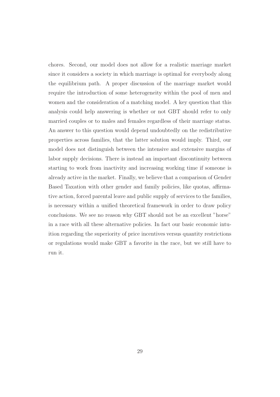chores. Second, our model does not allow for a realistic marriage market since it considers a society in which marriage is optimal for everybody along the equilibrium path. A proper discussion of the marriage market would require the introduction of some heterogeneity within the pool of men and women and the consideration of a matching model. A key question that this analysis could help answering is whether or not GBT should refer to only married couples or to males and females regardless of their marriage status. An answer to this question would depend undoubtedly on the redistributive properties across families, that the latter solution would imply. Third, our model does not distinguish between the intensive and extensive margins of labor supply decisions. There is instead an important discontinuity between starting to work from inactivity and increasing working time if someone is already active in the market. Finally, we believe that a comparison of Gender Based Taxation with other gender and family policies, like quotas, affirmative action, forced parental leave and public supply of services to the families, is necessary within a unified theoretical framework in order to draw policy conclusions. We see no reason why GBT should not be an excellent "horse" in a race with all these alternative policies. In fact our basic economic intuition regarding the superiority of price incentives versus quantity restrictions or regulations would make GBT a favorite in the race, but we still have to run it.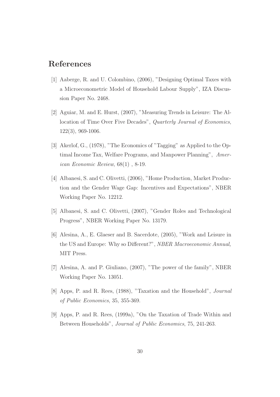# **References**

- [1] Aaberge, R. and U. Colombino, (2006), "Designing Optimal Taxes with a Microeconometric Model of Household Labour Supply", IZA Discussion Paper No. 2468.
- [2] Aguiar, M. and E. Hurst, (2007), "Measuring Trends in Leisure: The Allocation of Time Over Five Decades", *Quarterly Journal of Economics*, 122(3), 969-1006.
- [3] Akerlof, G., (1978), "The Economics of "Tagging" as Applied to the Optimal Income Tax, Welfare Programs, and Manpower Planning", *American Economic Review*, 68(1) , 8-19.
- [4] Albanesi, S. and C. Olivetti, (2006), "Home Production, Market Production and the Gender Wage Gap: Incentives and Expectations", NBER Working Paper No. 12212.
- [5] Albanesi, S. and C. Olivetti, (2007), "Gender Roles and Technological Progress", NBER Working Paper No. 13179.
- [6] Alesina, A., E. Glaeser and B. Sacerdote, (2005), "Work and Leisure in the US and Europe: Why so Different?", *NBER Macroeconomic Annual,* MIT Press.
- [7] Alesina, A. and P. Giuliano, (2007), "The power of the family", NBER Working Paper No. 13051.
- [8] Apps, P. and R. Rees, (1988), "Taxation and the Household", *Journal of Public Economics*, 35, 355-369.
- [9] Apps, P. and R. Rees, (1999a), "On the Taxation of Trade Within and Between Households", *Journal of Public Economics*, 75, 241-263.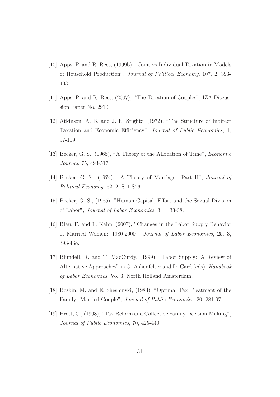- [10] Apps, P. and R. Rees, (1999b), "Joint vs Individual Taxation in Models of Household Production", *Journal of Political Economy*, 107, 2, 393- 403.
- [11] Apps, P. and R. Rees, (2007), "The Taxation of Couples", IZA Discussion Paper No. 2910.
- [12] Atkinson, A. B. and J. E. Stiglitz, (1972), "The Structure of Indirect Taxation and Economic Efficiency", *Journal of Public Economics*, 1, 97-119.
- [13] Becker, G. S., (1965), "A Theory of the Allocation of Time", *Economic Journal*, 75, 493-517.
- [14] Becker, G. S., (1974), "A Theory of Marriage: Part II", *Journal of Political Economy*, 82, 2, S11-S26.
- [15] Becker, G. S., (1985), "Human Capital, Effort and the Sexual Division of Labor", *Journal of Labor Economics*, 3, 1, 33-58.
- [16] Blau, F. and L. Kahn, (2007), "Changes in the Labor Supply Behavior of Married Women: 1980-2000", *Journal of Labor Economics*, 25, 3, 393-438.
- [17] Blundell, R. and T. MacCurdy, (1999), "Labor Supply: A Review of Alternative Approaches" in O. Ashenfelter and D. Card (eds), *Handbook of Labor Economics*, Vol 3, North Holland Amsterdam.
- [18] Boskin, M. and E. Sheshinski, (1983), "Optimal Tax Treatment of the Family: Married Couple", *Journal of Public Economics*, 20, 281-97.
- [19] Brett, C., (1998), "Tax Reform and Collective Family Decision-Making", *Journal of Public Economics*, 70, 425-440.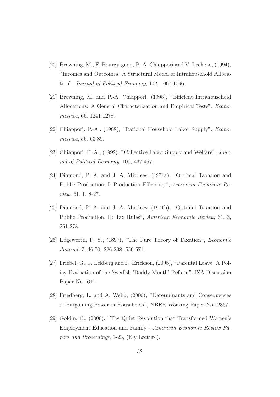- [20] Browning, M., F. Bourguignon, P.-A. Chiappori and V. Lechene, (1994), "Incomes and Outcomes: A Structural Model of Intrahousehold Allocation", *Journal of Political Economy*, 102, 1067-1096.
- [21] Browning, M. and P.-A. Chiappori, (1998), "Efficient Intrahousehold Allocations: A General Characterization and Empirical Tests", *Econometrica*, 66, 1241-1278.
- [22] Chiappori, P.-A., (1988), "Rational Household Labor Supply", *Econometrica*, 56, 63-89.
- [23] Chiappori, P.-A., (1992), "Collective Labor Supply and Welfare", *Journal of Political Economy*, 100, 437-467.
- [24] Diamond, P. A. and J. A. Mirrlees, (1971a), "Optimal Taxation and Public Production, I: Production Efficiency", *American Economic Review*, 61, 1, 8-27.
- [25] Diamond, P. A. and J. A. Mirrlees, (1971b), "Optimal Taxation and Public Production, II: Tax Rules", *American Economic Review*, 61, 3, 261-278.
- [26] Edgeworth, F. Y., (1897), "The Pure Theory of Taxation", *Economic Journal*, 7, 46-70, 226-238, 550-571.
- [27] Friebel, G., J. Eckberg and R. Erickson, (2005), "Parental Leave: A Policy Evaluation of the Swedish 'Daddy-Month' Reform", IZA Discussion Paper No 1617.
- [28] Friedberg, L. and A. Webb, (2006), "Determinants and Consequences of Bargaining Power in Households", NBER Working Paper No.12367.
- [29] Goldin, C., (2006), "The Quiet Revolution that Transformed Women's Employment Education and Family", *American Economic Review Papers and Proceedings*, 1-23, (Ely Lecture).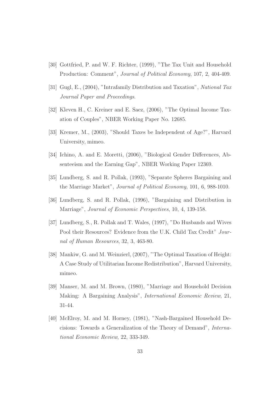- [30] Gottfried, P. and W. F. Richter, (1999), "The Tax Unit and Household Production: Comment", *Journal of Political Economy*, 107, 2, 404-409.
- [31] Gugl, E., (2004), "Intrafamily Distribution and Taxation", *National Tax Journal Paper and Proceedings*.
- [32] Kleven H., C. Kreiner and E. Saez, (2006), "The Optimal Income Taxation of Couples", NBER Working Paper No. 12685.
- [33] Kremer, M., (2003), "Should Taxes be Independent of Age?", Harvard University, mimeo.
- [34] Ichino, A. and E. Moretti, (2006), "Biological Gender Differences, Absenteeism and the Earning Gap", NBER Working Paper 12369.
- [35] Lundberg, S. and R. Pollak, (1993), "Separate Spheres Bargaining and the Marriage Market", *Journal of Political Economy*, 101, 6, 988-1010.
- [36] Lundberg, S. and R. Pollak, (1996), "Bargaining and Distribution in Marriage", *Journal of Economic Perspectives*, 10, 4, 139-158.
- [37] Lundberg, S., R. Pollak and T. Wales, (1997), "Do Husbands and Wives Pool their Resources? Evidence from the U.K. Child Tax Credit" *Journal of Human Resources*, 32, 3, 463-80.
- [38] Mankiw, G. and M. Weinzierl, (2007), "The Optimal Taxation of Height: A Case Study of Utilitarian Income Redistribution", Harvard University, mimeo.
- [39] Manser, M. and M. Brown, (1980), "Marriage and Household Decision Making: A Bargaining Analysis", *International Economic Review*, 21, 31-44.
- [40] McElroy, M. and M. Horney, (1981), "Nash-Bargained Household Decisions: Towards a Generalization of the Theory of Demand", *International Economic Review*, 22, 333-349.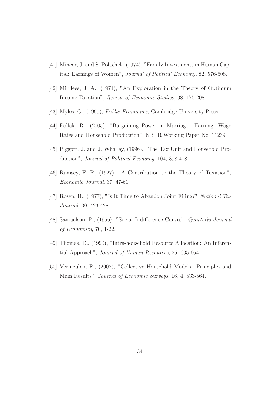- [41] Mincer, J. and S. Polachek, (1974), "Family Investments in Human Capital: Earnings of Women", *Journal of Political Economy*, 82, 576-608.
- [42] Mirrlees, J. A., (1971), "An Exploration in the Theory of Optimum Income Taxation", *Review of Economic Studies*, 38, 175-208.
- [43] Myles, G., (1995), *Public Economics*, Cambridge University Press.
- [44] Pollak, R., (2005), "Bargaining Power in Marriage: Earning, Wage Rates and Household Production", NBER Working Paper No. 11239.
- [45] Piggott, J. and J. Whalley, (1996), "The Tax Unit and Household Production", *Journal of Political Economy*, 104, 398-418.
- [46] Ramsey, F. P., (1927), "A Contribution to the Theory of Taxation", *Economic Journal*, 37, 47-61.
- [47] Rosen, H., (1977), "Is It Time to Abandon Joint Filing?" *National Tax Journal*, 30, 423-428.
- [48] Samuelson, P., (1956), "Social Indifference Curves", *Quarterly Journal of Economics*, 70, 1-22.
- [49] Thomas, D., (1990), "Intra-household Resource Allocation: An Inferential Approach", *Journal of Human Resources*, 25, 635-664.
- [50] Vermeulen, F., (2002), "Collective Household Models: Principles and Main Results", *Journal of Economic Surveys*, 16, 4, 533-564.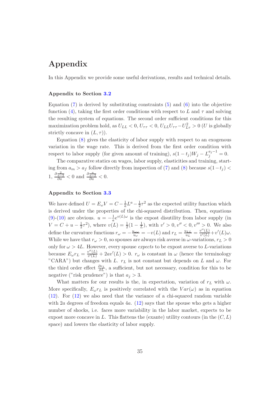# **Appendix**

In this Appendix we provide some useful derivations, results and technical details.

#### **Appendix to Section [3.2](#page-11-2)**

Equation  $(7)$  is derived by substituting constraints  $(5)$  and  $(6)$  into the objective function [\(4\)](#page-11-5), taking the first order conditions with respect to L and  $\tau$  and solving the resulting system of equations. The second order sufficient conditions for this maximization problem hold, as  $U_{LL} < 0$ ,  $U_{\tau\tau} < 0$ ,  $U_{LL}U_{\tau\tau} - U_{L\tau}^2 > 0$  (*U* is globally strictly concave in  $(L, \tau)$ ).

Equation [\(8\)](#page-12-1) gives the elasticity of labor supply with respect to an exogenous variation in the wage rate. This is derived from the first order condition with respect to labor supply (for given amount of training),  $s(1-t_j)W_j - L_j^{a_j-1} = 0$ .

The comparative statics on wages, labor supply, elasticities and training, starting from *a<sup>m</sup> > a<sup>f</sup>* follow directly from inspection of [\(7\)](#page-12-0) and [\(8\)](#page-12-1) because *s*(1−*t<sup>j</sup>* ) *<*  $1, \frac{\partial \frac{2}{a-2}}{\partial a} < 0$  and  $\frac{\partial \frac{a}{a-2}}{\partial a} < 0$ .

#### **Appendix to Section [3.3](#page-13-1)**

We have defined  $U = E_{\omega}V = C - \frac{1}{a}L^a - \frac{1}{2}\tau^2$  as the expected utility function which is derived under the properties of the chi-squared distribution. Then, equations [\(9\)](#page-14-3)-[\(10\)](#page-14-2) are obvious.  $u = -\frac{1}{a}e^{v(L)\omega}$  is the expost disutility from labor supply (in  $V = C + u - \frac{1}{2}\tau^2$ , where  $v(L) = \frac{1}{2}(1 - \frac{1}{L})$ , with  $v' > 0, v'' < 0, v''' > 0$ . We also define the curvature functions  $r_{\omega} = -\frac{u_{\omega\omega}}{u_{\omega}} = -v(L)$  and  $r_L = \frac{u_{LL}}{u_L} = \frac{v''(L)}{v'(L)} + v'(L)\omega$ . While we have that  $r_\omega > 0$ , so spouses are always risk averse in  $\omega$ -variations,  $r_L > 0$ only for  $\omega > 4L$ . However, every spouse *expects* to be expost averse to *L*-variations because  $E_{\omega}r_L = \frac{v''(L)}{v'(L)} + 2av'(L) > 0$ .  $r_{\omega}$  is constant in  $\omega$  (hence the terminology "CARA") but changes with *L*.  $r_L$  is not constant but depends on *L* and  $\omega$ . For the third order effect *∂r<sup>L</sup> ∂L* , a sufficient, but not necessary, condition for this to be negative ("risk prudence") is that  $a_j > 3$ .

What matters for our results is the, in expectation, variation of  $r<sub>L</sub>$  with  $\omega$ . More specifically,  $E_{\omega}r_L$  is positively correlated with the  $Var(\omega)$  as in equation [\(12\)](#page-15-1). For [\(12\)](#page-15-1) we also need that the variance of a chi-squared random variable with 2*a* degrees of freedom equals 4*a*. [\(12\)](#page-15-1) says that the spouse who gets a higher number of shocks, i.e. faces more variability in the labor market, expects to be expost more concave in L. This flattens the (exante) utility contours (in the  $(C, L)$ space) and lowers the elasticity of labor supply.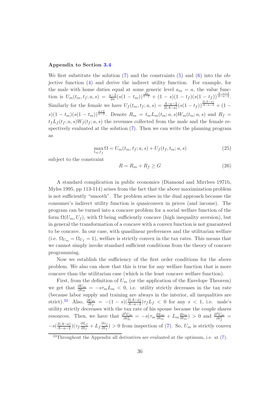#### **Appendix to Section [3.4](#page-16-0)**

We first substitute the solution  $(7)$  and the constraints  $(5)$  and  $(6)$  into the objective function [\(4\)](#page-11-5) and derive the indirect utility function. For example, for the male with home duties equal at some generic level  $a_m = a$ , the value function is  $U_m(t_m, t_f; a, s) = \frac{a-2}{2a}(s(1-t_m))^{\frac{2a}{a-2}} + (1-s)(1-t_f)(s(1-t_f))^{\frac{A-a+2}{A-a-2}}$ . Similarly for the female we have  $U_f(t_m, t_f; a, s) = \frac{A-a-2}{2(A-a)}(s(1-t_f))^{\frac{2(A-a)}{A-a-2}} + (1-t)^{\frac{2(A-a)}{A-a-2}}$  $s(1-t_m)(s(1-t_m))^{\frac{a+2}{a-2}}$ . Denote  $R_m = t_m L_m(t_m; a, s)W_m(t_m; a, s)$  and  $R_f =$  $t_f L_f(t_f; a, s)W_f(t_f; a, s)$  the revenues collected from the male and the female respectively evaluated at the solution [\(7\)](#page-12-0). Then we can write the planning program as

<span id="page-36-1"></span>
$$
\max_{t_m, t_f} \Omega = U_m(t_m, t_f; a, s) + U_f(t_f, t_m; a, s)
$$
\n(25)

<span id="page-36-2"></span>subject to the constraint

$$
R = R_m + R_f \ge G \tag{26}
$$

A standard complication in public economics (Diamond and Mirrlees 1971b, Myles 1995, pp 113-114) arises from the fact that the above maximization problem is not sufficiently "smooth". The problem arises in the dual approach because the consumer's indirect utility function is quasiconvex in prices (and income). The program can be turned into a concave problem for a social welfare function of the form  $\Omega(U_m, U_f)$ , with  $\Omega$  being sufficiently concave (high inequality aversion), but in general the transformation of a concave with a convex function is not guaranteed to be concave. In our case, with quasilinear preferences and the utilitarian welfare (i.e.  $\Omega_{U_m} = \Omega_{U_f} = 1$ ), welfare is strictly convex in the tax rates. This means that we cannot simply invoke standard sufficient conditions from the theory of concave programming.

Now we establish the sufficiency of the first order conditions for the above problem. We also can show that this is true for any welfare function that is more concave than the utilitarian case (which is the least concave welfare function).

First, from the definition of  $U_m$  (or the application of the Envelope Theorem) we get that  $\frac{\partial U_m}{\partial t_m} = -s\tau_m L_m < 0$ , i.e. utility strictly decreases in the tax rate (because labor supply and training are always in the interior, all inequalities are strict).<sup>[33](#page-36-0)</sup> Also,  $\frac{\partial U_m}{\partial t_f} = -(1-s)(\frac{2(A-a)}{A-a-2})\tau_f L_f < 0$  for any  $s < 1$ , i.e. male's utility strictly decreases with the tax rate of his spouse because the couple shares resources. Then, we have that  $\frac{\partial^2 U_m}{\partial t_m^2} = -s(\tau_m \frac{\partial L_m}{\partial t_m} + L_m \frac{\partial \tau_m}{\partial t_m}) > 0$  and  $\frac{\partial^2 U_m}{\partial t_f^2} =$  $-s\left(\frac{2(A-a)}{A-a-2}\right)\left(\tau_f\frac{\partial L_f}{\partial t_f}\right)$  $\frac{\partial L_f}{\partial t_f} + L_f \frac{\partial \tau_f}{\partial t_f}$  > 0 from inspection of [\(7\)](#page-12-0). So,  $U_m$  is strictly convex

<span id="page-36-0"></span><sup>33</sup>Throughout the Appendix all derivatives are evaluated at the optimum, i.e. at [\(7\)](#page-12-0).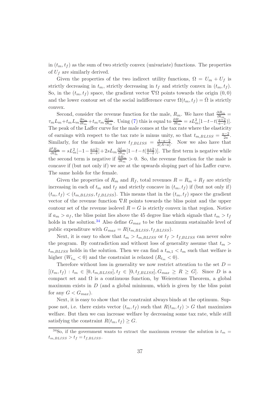in  $(t_m, t_f)$  as the sum of two strictly convex (univariate) functions. The properties of  $U_f$  are similarly derived.

Given the properties of the two indirect utility functions,  $\Omega = U_m + U_f$  is strictly decreasing in  $t_m$ , strictly decreasing in  $t_f$  and strictly convex in  $(t_m, t_f)$ . So, in the  $(t_m, t_f)$  space, the gradient vector  $\nabla \Omega$  points towards the origin  $(0, 0)$ and the lower contour set of the social indifference curve  $\Omega(t_m, t_f) = \overline{\Omega}$  is strictly convex.

Second, consider the revenue function for the male,  $R_m$ . We have that  $\frac{\partial R_m}{\partial t_m}$  =  $\tau_m L_m + t_m L_m \frac{\partial \tau_m}{\partial t_m} + t_m \tau_m \frac{\partial L_m}{\partial t_m}$ . Using [\(7\)](#page-12-0) this is equal to  $\frac{\partial R_m}{\partial t_m} = s L_m^2 [1 - t - t(\frac{a+2}{a-2})]$ . The peak of the Laffer curve for the male comes at the tax rate where the elasticity of earnings with respect to the tax rate is minus unity, so that  $t_{m,BLISS} = \frac{a-2}{2a}$ . Similarly, for the female we have  $t_{f,BLISS} = \frac{A-a-2}{2(A-a)}$ . Now we also have that  $\frac{\partial^2 R_m}{\partial t_m^2} = sL_m^2[-1 - \frac{a+2}{a-2}] + 2sL_m \frac{\partial L_m}{\partial t_m}[1 - t - t(\frac{a+2}{a-2})]$ . The first term is negative while the second term is negative if  $\frac{\partial R_m}{\partial t_m} > 0$ . So, the revenue function for the male is concave if (but not only if) we are at the upwards sloping part of his Laffer curve. The same holds for the female.

Given the properties of  $R_m$  and  $R_f$ , total revenues  $R = R_m + R_f$  are strictly increasing in each of  $t_m$  and  $t_f$  and strictly concave in  $(t_m, t_f)$  if (but not only if)  $(t_m, t_f) < (t_m, B_{LISS}, t_{f,BLISS})$ . This means that in the  $(t_m, t_f)$  space the gradient vector of the revenue function ∇*R* points towards the bliss point and the upper contour set of the revenue isolevel  $R = G$  is strictly convex in that region. Notice if  $a_m > a_f$ , the bliss point lies above the 45 degree line which signals that  $t_m > t_f$ holds in the solution.<sup>[34](#page-37-0)</sup> Also define  $G_{max}$  to be the maximum sustainable level of public expenditure with  $G_{max} = R(t_{m,BLISS}, t_{f,BLISS})$ .

Next, it is easy to show that  $t_m > t_{m, BLISS}$  or  $t_f > t_{f,BLISS}$  can never solve the program. By contradiction and without loss of generality assume that  $t_m$  $t_{m,BLISS}$  holds in the solution. Then we can find a  $t_{m,1} < t_m$  such that welfare is higher  $(W_{t_m} < 0)$  and the constraint is relaxed  $(R_{t_m} < 0)$ .

Therefore without loss in generality we now restrict attention to the set  $D =$  $[(t_m, t_f) : t_m \in [0, t_{m, BLISS}], t_f \in [0, t_{f, BLISS}], G_{max} \ge R \ge G].$  Since *D* is a compact set and  $\Omega$  is a continuous function, by Weierstrass Theorem, a global maximum exists in  $D$  (and a global minimum, which is given by the bliss point for any  $G < G_{max}$ ).

Next, it is easy to show that the constraint always binds at the optimum. Suppose not, i.e. there exists vector  $(t_m, t_f)$  such that  $R(t_m, t_f) > G$  that maximizes welfare. But then we can increase welfare by decreasing some tax rate, while still satisfying the constraint  $R(t_m, t_f) \geq G$ .

<span id="page-37-0"></span> $34$ So, if the government wants to extract the maximum revenue the solution is  $t_m$  =  $t_{m,BLISS} > t_f = t_{f,BLISS}.$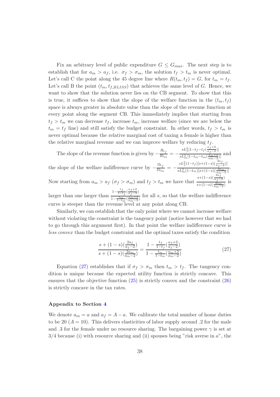Fix an arbitrary level of public expenditure  $G \leq G_{max}$ . The next step is to establish that for  $a_m > a_f$ , i.e.  $\sigma_f > \sigma_m$ , the solution  $t_f > t_m$  is never optimal. Let's call C the point along the 45 degree line where  $R(t_m, t_f) = G$ , for  $t_m = t_f$ . Let's call B the point  $(t_m, t_{f, BLISS})$  that achieves the same level of *G*. Hence, we want to show that the solution never lies on the CB segment. To show that this is true, it suffices to show that the slope of the welfare function in the  $(t_m, t_f)$ space is always greater in absolute value than the slope of the revenue function at every point along the segment CB. This immediately implies that starting from  $t_f > t_m$  we can decrease  $t_f$ , increase  $t_m$ , increase welfare (since we are below the  $t_m = t_f$  line) and still satisfy the budget constraint. In other words,  $t_f > t_m$  is never optimal because the relative marginal cost of taxing a female is higher than the relative marginal revenue and we can improve welfare by reducing *t<sup>f</sup>* .

The slope of the revenue function is given by  $-\frac{R_{t_f}}{R_{t_m}} = -\frac{sL_f^2[1-t_f-t_f(\frac{a_f+2}{a_f-2})]}{sL_m^2[1-t_m-t_m(\frac{a_m+2}{a_f-2})]}$  $\frac{1}{sL_m^2[1-t_m-t_m(\frac{a_m+2}{a_m-2})]}$  and the slope of the welfare indifference curve by  $-\frac{\Omega_{t_f}}{\Omega_{t_m}} = -\frac{sL_f^2(1-t_f)[s+(1-s)(\frac{2a_f}{a_f-2})]}{sL_m^2(1-t_m)[s+(1-s)(\frac{2a_m}{a_f-2})]}$  $\frac{1}{sL_m^2(1-t_m)[s+(1-s)(\frac{2a_m}{a_m-2})]}.$ Now starting from  $a_m > a_f$   $(\sigma_f > \sigma_m)$  and  $t_f > t_m$  we have that  $\frac{s+(1-s)(\frac{2a_f}{a_f-2})}{s+(1-s)(\frac{2a_m}{a_m-2})}$  is larger than one larger than  $1-\frac{t_f}{1-t_f}(\frac{a_f+2}{a_f-2})$  $\frac{1-t_f}{1-\frac{tm}{1-t_m}(\frac{am+2}{am-2})}$  for all *s*, so that the welfare indifference curve is steeper than the revenue level at any point along CB.

Similarly, we can establish that the only point where we cannot increase welfare without violating the constraint is the tangency point (notice however that we had to go through this argument first). In that point the welfare indifference curve is less convex than the budget constraint and the optimal taxes satisfy the condition

$$
\frac{s + (1 - s)\left(\frac{2a_f}{a_f - 2}\right)}{s + (1 - s)\left(\frac{2a_m}{a_m - 2}\right)} = \frac{1 - \frac{t_f}{1 - t_f}\left(\frac{a_f + 2}{a_f - 2}\right)}{1 - \frac{t_m}{1 - t_m}\left(\frac{a_m + 2}{a_m - 2}\right)}\tag{27}
$$

<span id="page-38-0"></span>Equation [\(27\)](#page-38-0) establishes that if  $\sigma_f > \sigma_m$  then  $t_m > t_f$ . The tangency condition is unique because the expected utility function is strictly concave. This ensures that the objective function [\(25\)](#page-36-2) is strictly convex and the constraint [\(26\)](#page-36-1) is strictly concave in the tax rates.

#### **Appendix to Section [4](#page-17-0)**

We denote  $a_m = a$  and  $a_f = A - a$ . We calibrate the total number of home duties to be 20  $(A = 10)$ . This delivers elasticities of labor supply around .2 for the male and *.*3 for the female under no resource sharing. The bargaining power  $\gamma$  is set at 3*/*4 because (i) with resource sharing and (ii) spouses being "risk averse in *a*", the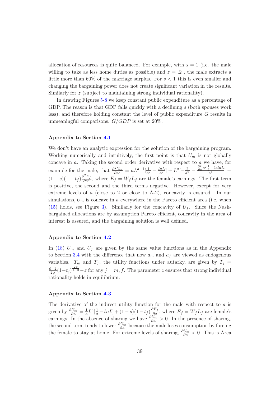allocation of resources is quite balanced. For example, with  $s = 1$  (i.e. the male willing to take as less home duties as possible) and  $z = .2$ , the male extracts a little more than 60% of the marriage surplus. For *s <* 1 this is even smaller and changing the bargaining power does not create significant variation in the results. Similarly for *z* (subject to maintaining strong individual rationality).

In drawing Figures [5-](#page-49-0)[8](#page-52-0) we keep constant public expenditure as a percentage of GDP. The reason is that GDP falls quickly with a declining *s* (both spouses work less), and therefore holding constant the level of public expenditure *G* results in unmeaningful comparisons. *G/GDP* is set at 20%.

#### **Appendix to Section [4.1](#page-18-3)**

We don't have an analytic expression for the solution of the bargaining program. Working numerically and intuitively, the first point is that  $U_m$  is not globally concave in *a*. Taking the second order derivative with respect to *a* we have, for example for the male, that  $\frac{\partial^2 U_m}{\partial a^2} = aL^{a-1}[\frac{1}{a^2} - \frac{lnL}{a^2}] + L^a[-\frac{2}{a^2} - \frac{\frac{\partial L}{\partial a}a^2 \frac{1}{L} - 2alnL}{a^4}] +$  $(1-s)(1-t_f)\frac{\partial^2 E_f}{\partial a^2}$ , where  $E_f = W_f L_f$  are the female's earnings. The first term is positive, the second and the third terms negative. However, except for very extreme levels of *a* (close to 2 or close to A-2), concavity is ensured. In our simulations,  $U_m$  is concave in *a* everywhere in the Pareto efficient area (i.e. when [\(15\)](#page-19-3) holds, see Figure [3\)](#page-47-0). Similarly for the concavity of  $U_f$ . Since the Nashbargained allocations are by assumption Pareto efficient, concavity in the area of interest is assured, and the bargaining solution is well defined.

#### **Appendix to Section [4.2](#page-20-1)**

In [\(18\)](#page-21-2)  $U_m$  and  $U_f$  are given by the same value functions as in the Appendix to Section [3.4](#page-16-0) with the difference that now  $a_m$  and  $a_f$  are viewed as endogenous variables.  $T_m$  and  $T_f$ , the utility functions under autarky, are given by  $T_j =$  $\frac{\phi-2}{2\phi}(1-t_j)^{\frac{2\phi}{\phi-2}}-z$  for any  $j=m, f$ . The parameter *z* ensures that strong individual rationality holds in equilibrium.

#### **Appendix to Section [4.3](#page-21-0)**

The derivative of the indirect utility function for the male with respect to *a* is given by  $\frac{\partial U_m}{\partial a} = \frac{1}{a} L^a \left[\frac{1}{a} - lnL\right] + (1-s)(1-t_f) \frac{\partial E_f}{\partial a}$ , where  $E_f = W_f L_f$  are female's earnings. In the absence of sharing we have  $\frac{\partial U_m}{\partial a} > 0$ . In the presence of sharing, the second term tends to lower  $\frac{\partial U_m}{\partial a}$  because the male loses consumption by forcing the female to stay at home. For extreme levels of sharing, *∂U<sup>m</sup> ∂a <* 0. This is Area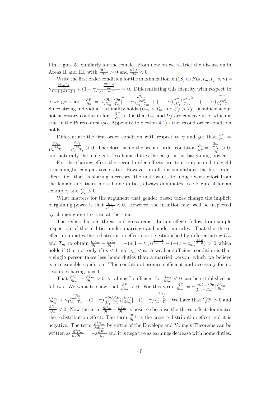I in Figure [5.](#page-49-0) Similarly for the female. From now on we restrict the discussion in Areas II and III, with  $\frac{\partial U_m}{\partial a} > 0$  and  $\frac{\partial U_f}{\partial a} < 0$ .

Write the first order condition for the maximization of [\(18\)](#page-21-2) as  $F(a, t_m, t_f, s, \gamma)$  $\gamma \frac{\frac{\partial U_m(.)}{\partial a}}{U_m(.) - T_m(.)} + (1 - \gamma) \frac{\frac{\partial U_f(.)}{\partial a}}{U_f(.) - T_f(.)} = 0.$  Differentiating this identity with respect to *a* we get that  $-\frac{\partial F}{\partial a} = \gamma \left[\frac{\partial U_m \setminus \partial a}{U_m - T_m}\right]^2 - \gamma$  $\frac{\frac{\partial^2 U_m}{\partial a^2}}{U_m - T_m} + (1 - \gamma) \left[ \frac{\partial U_f \backslash \partial a}{U_f - T_f} \right]^2 - (1 - \gamma)$  $\frac{\partial^2 U_f}{\partial a^2}$  *Uf* −*T<sub>f</sub>* . Since strong individual rationality holds  $(U_m > T_m$  and  $U_f > T_f)$ , a sufficient but not necessary condition for  $-\frac{\partial F}{\partial a} > 0$  is that  $U_m$  and  $U_f$  are concave in *a*, which is true in the Pareto area (see Appendix to Section [4.1\)](#page-18-3) - the second order condition holds.

Differentiate the first order condition with respect to  $\gamma$  and get that  $\frac{\partial F}{\partial \gamma}$  =  $\frac{\frac{\partial U_m}{\partial a}}{U_m - T_m} - \frac{\frac{\partial U_f}{\partial a}}{U_f - T_f} > 0.$  Therefore, using the second order condition  $\frac{\partial a}{\partial \gamma} = \frac{\frac{\partial F}{\partial \gamma}}{-\frac{\partial F}{\partial a}} > 0$ , and naturally the male gets less home duties the larger is his bargaining power.

For the sharing effect the second-order effects are too complicated to yield a meaningful comparative static. However, in all our simulations the first order effect, i.e. that as sharing increases, the male wants to induce work effort from the female and takes more home duties, always dominates (see Figure [4](#page-48-0) for an example) and  $\frac{\partial a}{\partial s} > 0$ .

What matters for the argument that gender based taxes change the implicit bargaining power is that  $\frac{\partial a}{\partial \frac{t_m}{t_f}}$ *<* 0. However, the intuition may well be inspected by changing one tax rate at the time.

The redistribution, threat and cross redistribution effects follow from simple inspection of the utilities under marriage and under autarky. That the threat effect dominates the redistribution effect can be established by differentiating  $U_m$ and  $T_m$  to obtain  $\frac{\partial U_m}{\partial t_m} - \frac{\partial T_m}{\partial t_m} = -(s(1-t_m))^{\frac{am+2}{am-2}} - (-(1-t_m)^{\frac{\phi+2}{\phi-2}}) > 0$  which holds if (but not only if)  $s < 1$  and  $a_m < \phi$ . A weaker sufficient condition is that a single person takes less home duties than a married person, which we believe is a reasonable condition. This condition becomes sufficient and necessary for no resource sharing,  $s = 1$ .

That  $\frac{\partial U_m}{\partial t_m} - \frac{\partial T_m}{\partial t_m} > 0$  is "almost" sufficient for  $\frac{\partial a_m}{\partial t_m} < 0$  can be established as follows. We want to show that  $\frac{\partial F}{\partial t_m} < 0$ . For this write  $\frac{\partial F}{\partial t_m} = \gamma \frac{-\partial U_m \setminus \partial a}{[U_m - T_m]^2} [\frac{\partial U_m}{\partial t_m} \frac{\partial T_m}{\partial t_m}$ ] +  $\gamma$ *<sup>∂</sup>*2*Um ∂a∂tm*  $\frac{\frac{\partial^2 U_m}{\partial a \partial t_m}}{U_m - T_m} + (1 - \gamma) \frac{-\partial U_f \setminus \partial a}{\left[U_f - T_f\right]^2}$  $\frac{-\partial U_f \setminus \partial a}{\left[U_f-T_f\right]^2} \left[\frac{\partial U_f}{\partial t_m}\right] + (1-\gamma)$  $\frac{\partial^2 U_f}{\partial a \partial t_m}$ . We have that  $\frac{\partial U_m}{\partial a} > 0$  and  $\frac{\partial U_f}{\partial a}$  < 0. Now the term  $\frac{\partial U_m}{\partial t_m} - \frac{\partial T_m}{\partial t_m}$  is positive because the threat effect dominates the redistribution effect. The term  $\frac{\partial U_f}{\partial t_m}$  is the cross redistribution effect and it is negative. The term *<sup>∂</sup>*2*U<sup>m</sup> ∂a∂t<sup>m</sup>* by virtue of the Envelope and Young's Theorems can be written as  $\frac{\partial^2 U_m}{\partial a \partial t_m} = -s \frac{\partial E_m}{\partial a}$  and it is negative as earnings decrease with home duties.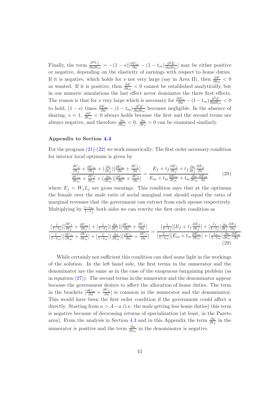Finally, the term  $\frac{\partial^2 U_f}{\partial a \partial t_m} = -(1-s)\left[\frac{\partial E_m}{\partial a} - (1-t_m)\frac{\partial^2 E}{\partial a \partial t_m}\right]$  may be either positive or negative, depending on the elasticity of earnings with respect to home duties. If it is negative, which holds for *s* not very large (say in Area II), then  $\frac{\partial F}{\partial t_m} < 0$ as wanted. If it is positive, then  $\frac{\partial F}{\partial t_m} < 0$  cannot be established analytically, but in our numeric simulations the last effect never dominates the three first effects. The reason is that for *s* very large which is necessary for  $\frac{\partial E_m}{\partial a} - (1 - t_m) \frac{\partial^2 E}{\partial a \partial t_m} < 0$ to hold,  $(1-s)$  times  $\frac{\partial E_m}{\partial a} - (1-t_m) \frac{\partial^2 E}{\partial a \partial t_m}$  becomes negligible. In the absence of sharing,  $s = 1$ ,  $\frac{\partial F}{\partial t_m} < 0$  always holds because the first and the second terms are always negative, and therefore  $\frac{\partial a}{\partial t_m} < 0$ .  $\frac{\partial a}{\partial t_f} > 0$  can be examined similarly.

#### **Appendix to Section [4.4](#page-24-2)**

For the program [\(21\)](#page-24-4)-[\(22\)](#page-24-3) we work numerically. The first order necessary condition for interior local optimum is given by

$$
\frac{\partial U_f}{\partial t_f} + \frac{\partial U_m}{\partial t_f} + \left(\frac{\partial a}{\partial t_f}\right)\left[\frac{\partial U_m}{\partial a} + \frac{\partial U_f}{\partial a}\right] = \frac{E_f + t_f \frac{\partial E_f}{\partial t_f} + t_f \frac{\partial a}{\partial t_f} \frac{\partial E_f}{\partial a}}{E_m + t_m \frac{\partial E_m}{\partial t_m} + t_m \frac{\partial a}{\partial t_m} \frac{\partial E_m}{\partial a}}\n\tag{28}
$$

where  $E_j = W_j L_j$  are gross earnings. This condition says that at the optimum the female over the male ratio of social marginal cost should equal the ratio of marginal revenues that the government can extract from each spouse respectively. Multiplying by  $\frac{1-t_m}{1-t_f}$  both sides we can rewrite the first order condition as

<span id="page-41-0"></span>
$$
\frac{\left[\frac{1}{1-t_f}\right] \left[\frac{\partial U_f}{\partial t_f} + \frac{\partial U_m}{\partial t_f}\right] + \left[\frac{1}{1-t_f}\right] \left(\frac{\partial a}{\partial t_f}\right) \left[\frac{\partial U_m}{\partial a} + \frac{\partial U_f}{\partial a}\right]}{\left[\frac{1}{1-t_m}\right] \left[\frac{\partial U_m}{\partial t_m} + \frac{\partial U_f}{\partial t_f}\right] + \left[\frac{1}{1-t_m}\right] \left(\frac{\partial a}{\partial t_m}\right) \left[\frac{\partial U_m}{\partial a} + \frac{\partial U_f}{\partial a}\right]} = \frac{\left[\frac{1}{1-t_f}\right] \left[E_f + t_f \frac{\partial E_f}{\partial t_f}\right] + \left[\frac{t_f}{1-t_f}\right] \frac{\partial a}{\partial t_f} \frac{\partial E_f}{\partial a}}{\left[\frac{1}{1-t_m}\right] \left[E_m + t_m \frac{\partial E_m}{\partial t_m}\right] + \left[\frac{t_m}{1-t_m}\right] \frac{\partial a}{\partial t_m} \frac{\partial E_m}{\partial a}}\tag{29}
$$

While certainly not sufficient this condition can shed some light in the workings of the solution. In the left hand side, the first terms in the numerator and the denominator are the same as in the case of the exogenous bargaining problem (as in equation  $(27)$ . The second terms in the numerator and the denominator appear because the government desires to affect the allocation of home duties. The term in the brackets  $\left[\frac{\partial U_m}{\partial a} + \frac{\partial U_f}{\partial a}\right]$  is common in the numerator and the denominator. This would have been the first order condition if the government could affect *a* directly. Starting from  $a > A - a$  (i.e. the male getting less home duties) this term is negative because of decreasing returns of specialization (at least, in the Pareto area). From the analysis in Section [4.3](#page-21-0) and in this Appendix the term  $\frac{\partial a}{\partial t_f}$  in the numerator is positive and the term  $\frac{\partial a}{\partial t_m}$  in the denominator is negative.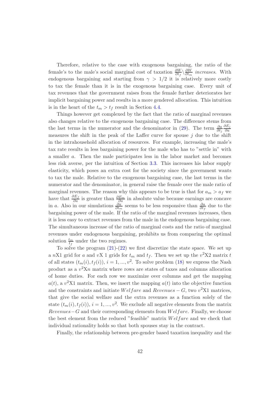Therefore, relative to the case with exogenous bargaining, the ratio of the female's to the male's social marginal cost of taxation  $\frac{\partial W}{\partial t_f} \setminus \frac{\partial W}{\partial t_m}$  increases. With endogenous bargaining and starting from  $\gamma > 1/2$  it is relatively more costly to tax the female than it is in the exogenous bargaining case. Every unit of tax revenues that the government raises from the female further deteriorates her implicit bargaining power and results in a more gendered allocation. This intuition is in the heart of the  $t_m > t_f$  result in Section [4.4.](#page-24-2)

Things however get complexed by the fact that the ratio of marginal revenues also changes relative to the exogenous bargaining case. The difference stems from the last terms in the numerator and the denominator in  $(29)$ . The term  $\frac{\partial a}{\partial t_j}$ *∂E<sup>j</sup> ∂a* measures the shift in the peak of the Laffer curve for spouse *j* due to the shift in the intrahousehold allocation of resources. For example, increasing the male's tax rate results in less bargaining power for the male who has to "settle in" with a smaller *a*. Then the male participates less in the labor market and becomes less risk averse, per the intuition of Section [3.3.](#page-13-1) This increases his labor supply elasticity, which poses an extra cost for the society since the government wants to tax the male. Relative to the exogenous bargaining case, the last terms in the numerator and the denominator, in general raise the female over the male ratio of marginal revenues. The reason why this appears to be true is that for  $a_m > a_f$  we have that *∂E<sup>f</sup> ∂a* is greater than *∂E<sup>m</sup> ∂a* in absolute value because earnings are concave in *a*. Also in our simulations  $\frac{\partial a}{\partial t_m}$  seems to be less responsive than  $\frac{\partial a}{\partial t_f}$  due to the bargaining power of the male. If the ratio of the marginal revenues increases, then it is less easy to extract revenues from the male in the endogenous bargaining case. The simultaneous increase of the ratio of marginal costs and the ratio of marginal revenues under endogenous bargaining, prohibits us from comparing the optimal solution  $\frac{t_m}{t_f}$  under the two regimes.

To solve the program  $(21)-(22)$  $(21)-(22)$  $(21)-(22)$  we first discretize the state space. We set up a *n*X1 grid for *a* and *vX* 1 grids for  $t_m$  and  $t_f$ . Then we set up the  $v^2X2$  matrix *t* of all states  $(t_m(i), t_f(i)), i = 1, ..., v^2$ . To solve problem [\(18\)](#page-21-2) we express the Nash product as a  $v^2Xn$  matrix where rows are states of taxes and columns allocation of home duties. For each row we maximize over columns and get the mapping  $a(t)$ , a  $v^2$ X1 matrix. Then, we insert the mapping  $a(t)$  into the objective function and the constraints and initiate *Welfare* and  $Revenues - G$ , two  $v^2 X1$  matrices, that give the social welfare and the extra revenues as a function solely of the state  $(t_m(i), t_f(i)), i = 1, ..., v^2$ . We exclude all negative elements from the matrix *Revenues*−*G* and their corresponding elements from *W elf are*. Finally, we choose the best element from the reduced "feasible" matrix *W elf are* and we check that individual rationality holds so that both spouses stay in the contract.

Finally, the relationship between pre-gender based taxation inequality and the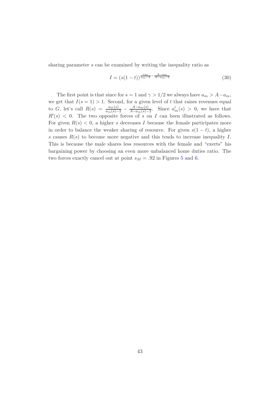sharing parameter *s* can be examined by writing the inequality ratio as

$$
I = (s(1-t))^{\frac{am}{am-2} - \frac{A-am}{A-am-2}}
$$
\n(30)

The first point is that since for  $s = 1$  and  $\gamma > 1/2$  we always have  $a_m > A - a_m$ , we get that  $I(s = 1) > 1$ . Second, for a given level of t that raises revenues equal to G, let's call  $R(s) = \frac{a_m(s)}{a_m(s)-2} - \frac{A-a_m(s)}{A-a_m(s)-2}$ . Since  $a'_m(s) > 0$ , we have that  $R'(s)$  < 0. The two opposite forces of *s* on *I* can been illustrated as follows. For given  $R(s) < 0$ , a higher *s* decreases *I* because the female participates more in order to balance the weaker sharing of resource. For given  $s(1-t)$ , a higher *s* causes  $R(s)$  to become more negative and this tends to increase inequality *I*. This is because the male shares less resources with the female and "exerts" his bargaining power by choosing an even more unbalanced home duties ratio. The two forces exactly cancel out at point  $s_M = .92$  in Figures [5](#page-49-0) and [6.](#page-50-0)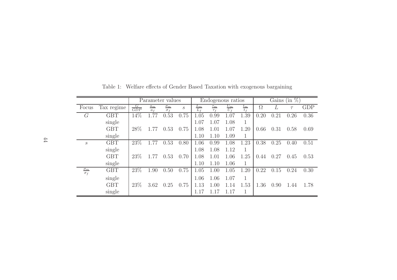|                             |            | Parameter values |                         |                          |                             | Endogenous ratios |                 |                   |                   | $(in \%)$<br>Gains |      |        |            |
|-----------------------------|------------|------------------|-------------------------|--------------------------|-----------------------------|-------------------|-----------------|-------------------|-------------------|--------------------|------|--------|------------|
| Focus                       | Tax regime | $\frac{G}{GDP}$  | $a_m$<br>a <sub>f</sub> | $\sigma_m$<br>$\sigma_f$ | $\mathcal{S}_{\mathcal{S}}$ | $\frac{L_m}{L_f}$ | $\tau_m$<br>T f | $\frac{U_m}{U_f}$ | $\frac{t_m}{t_f}$ | $\Omega$           | L    | $\tau$ | <b>GDP</b> |
| G                           | <b>GBT</b> | 14\%             | 1.77                    | 0.53                     | 0.75                        | 1.05              | 0.99            | 1.07              | 1.39              | 0.20               | 0.21 | 0.26   | 0.36       |
|                             | single     |                  |                         |                          |                             | 1.07              | 1.07            | 1.08              |                   |                    |      |        |            |
|                             | <b>GBT</b> | 28\%             | 1.77                    | 0.53                     | 0.75                        | 1.08              | 1.01            | 1.07              | 1.20              | 0.66               | 0.31 | 0.58   | 0.69       |
|                             | single     |                  |                         |                          |                             | 1.10              | 1.10            | 1.09              | 1                 |                    |      |        |            |
| $\mathcal{S}_{0}$           | <b>GBT</b> | 23\%             | 1.77                    | 0.53                     | 0.80                        | 1.06              | 0.99            | 1.08              | 1.23              | 0.38               | 0.25 | 0.40   | 0.51       |
|                             | single     |                  |                         |                          |                             | 1.08              | 1.08            | 1.12              |                   |                    |      |        |            |
|                             | <b>GBT</b> | 23\%             | 1.77                    | 0.53                     | 0.70                        | 1.08              | 1.01            | 1.06              | 1.25              | 0.44               | 0.27 | 0.45   | 0.53       |
|                             | single     |                  |                         |                          |                             | 1.10              | 1.10            | 1.06              | 1                 |                    |      |        |            |
| $\frac{\sigma_m}{\sigma_f}$ | <b>GBT</b> | 23%              | 1.90                    | 0.50                     | 0.75                        | 1.05              | 1.00            | 1.05              | 1.20              | 0.22               | 0.15 | 0.24   | 0.30       |
|                             | single     |                  |                         |                          |                             | 1.06              | 1.06            | 1.07              | 1                 |                    |      |        |            |
|                             | <b>GBT</b> | 23\%             | 3.62                    | 0.25                     | 0.75                        | 1.13              | 1.00            | 1.14              | 1.53              | 1.36               | 0.90 | 1.44   | 1.78       |
|                             | single     |                  |                         |                          |                             | 1.17              | 1.17            | 1.17              | 1                 |                    |      |        |            |

<span id="page-44-0"></span>Table 1: Welfare effects of Gender Based Taxation with exogenous bargaining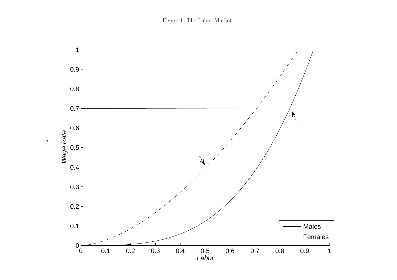<span id="page-45-0"></span>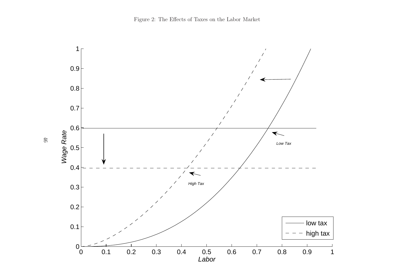<span id="page-46-0"></span>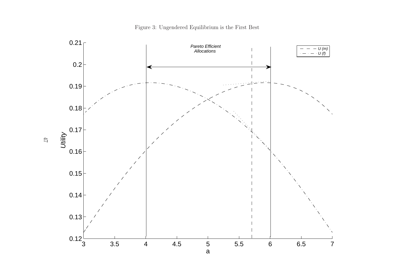

<span id="page-47-0"></span>Figure 3: Ungendered Equilibrium is the First Best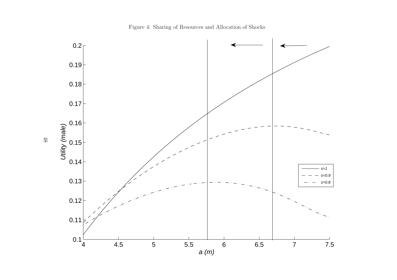<span id="page-48-0"></span>Figure 4: Sharing of Resources and Allocation of Shocks

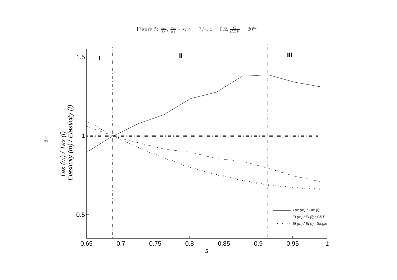

<span id="page-49-0"></span>Figure 5:  $\frac{t_m}{t_f}$ ,  $\frac{\sigma_m}{\sigma_f}$  - *s*;  $\gamma = 3/4$ ,  $z = 0.2$ ,  $\frac{G}{GDP} = 20\%$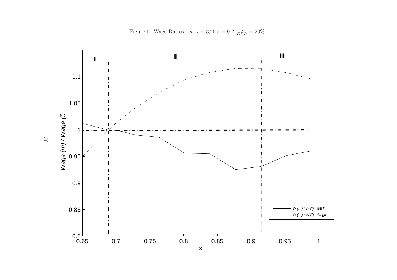<span id="page-50-0"></span>Figure 6: Wage Ratios - *s*;  $\gamma = 3/4, z = 0.2, \frac{G}{GDP} = 20\%$ 

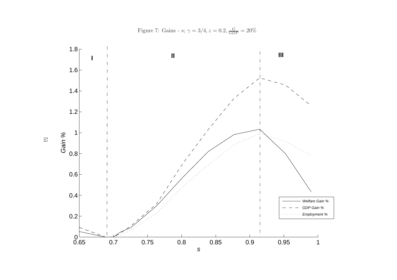<span id="page-51-0"></span>Figure 7: Gains - *s*;  $\gamma = 3/4, z = 0.2, \frac{G}{GDP} = 20\%$